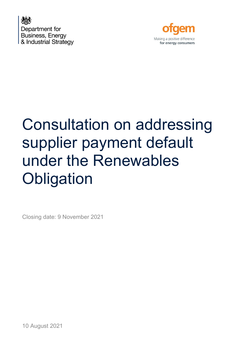



# Consultation on addressing supplier payment default under the Renewables **Obligation**

Closing date: 9 November 2021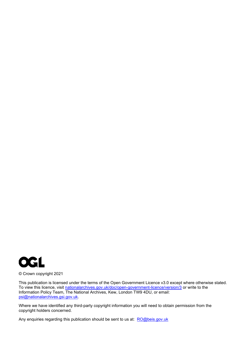

© Crown copyright 2021

This publication is licensed under the terms of the Open Government Licence v3.0 except where otherwise stated. To view this licence, visit [nationalarchives.gov.uk/doc/open-government-licence/version/3](http://nationalarchives.gov.uk/doc/open-government-licence/version/3/) or write to the Information Policy Team, The National Archives, Kew, London TW9 4DU, or email: [psi@nationalarchives.gsi.gov.uk.](mailto:psi@nationalarchives.gsi.gov.uk)

Where we have identified any third-party copyright information you will need to obtain permission from the copyright holders concerned.

Any enquiries regarding this publication should be sent to us at: [RO@beis.gov.uk](mailto:RO@beis.gov.uk)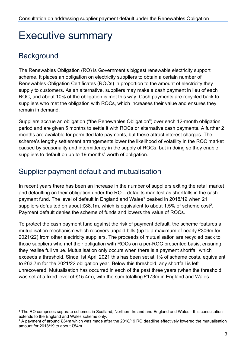## Executive summary

## **Background**

The Renewables Obligation (RO) is Government's biggest renewable electricity support scheme. It places an obligation on electricity suppliers to obtain a certain number of Renewables Obligation Certificates (ROCs) in proportion to the amount of electricity they supply to customers. As an alternative, suppliers may make a cash payment in lieu of each ROC, and about 10% of the obligation is met this way. Cash payments are recycled back to suppliers who met the obligation with ROCs, which increases their value and ensures they remain in demand.

Suppliers accrue an obligation ("the Renewables Obligation") over each 12-month obligation period and are given 5 months to settle it with ROCs or alternative cash payments. A further 2 months are available for permitted late payments, but these attract interest charges. The scheme's lengthy settlement arrangements lower the likelihood of volatility in the ROC market caused by seasonality and intermittency in the supply of ROCs, but in doing so they enable suppliers to default on up to 19 months' worth of obligation.

## Supplier payment default and mutualisation

In recent years there has been an increase in the number of suppliers exiting the retail market and defaulting on their obligation under the RO – defaults manifest as shortfalls in the cash payment fund. The level of default in England and Wales<sup>[1](#page-2-0)</sup> peaked in 2018/19 when 21 suppliers defaulted on about  $£88.1m$ , which is equivalent to about 1.5% of scheme cost<sup>[2](#page-2-1)</sup>. Payment default denies the scheme of funds and lowers the value of ROCs.

To protect the cash payment fund against the risk of payment default, the scheme features a mutualisation mechanism which recovers unpaid bills (up to a maximum of nearly £306m for 2021/22) from other electricity suppliers. The proceeds of mutualisation are recycled back to those suppliers who met their obligation with ROCs on a per-ROC presented basis, ensuring they realise full value. Mutualisation only occurs when there is a payment shortfall which exceeds a threshold. Since 1st April 2021 this has been set at 1% of scheme costs, equivalent to £63.7m for the 2021/22 obligation year. Below this threshold, any shortfall is left unrecovered. Mutualisation has occurred in each of the past three years (when the threshold was set at a fixed level of £15.4m), with the sum totalling £173m in England and Wales.

<span id="page-2-0"></span><sup>1</sup> The RO comprises separate schemes in Scotland, Northern Ireland and England and Wales - this consultation extends to the England and Wales scheme only.

<span id="page-2-1"></span><sup>2</sup> A payment of around £34m which was made after the 2018/19 RO deadline effectively lowered the mutualisation amount for 2018/19 to about £54m.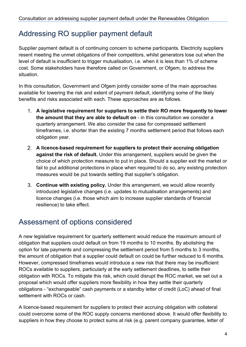## Addressing RO supplier payment default

Supplier payment default is of continuing concern to scheme participants. Electricity suppliers resent meeting the unmet obligations of their competitors, whilst generators lose out when the level of default is insufficient to trigger mutualisation, i.e. when it is less than 1% of scheme cost. Some stakeholders have therefore called on Government, or Ofgem, to address the situation.

In this consultation, Government and Ofgem jointly consider some of the main approaches available for lowering the risk and extent of payment default, identifying some of the likely benefits and risks associated with each. These approaches are as follows.

- **A legislative requirement for suppliers to settle their RO more frequently to lower the amount that they are able to default on** - in this consultation we consider a quarterly arrangement. We also consider the case for compressed settlement timeframes, i.e. shorter than the existing 7 months settlement period that follows each obligation year.
- **A licence-based requirement for suppliers to protect their accruing obligation against the risk of default.** Under this arrangement, suppliers would be given the choice of which protection measure to put in place. Should a supplier exit the market or fail to put additional protections in place when required to do so, any existing protection measures would be put towards settling that supplier's obligation.
- **Continue with existing policy.** Under this arrangement, we would allow recently introduced legislative changes (i.e. updates to mutualisation arrangements) and licence changes (i.e. those which aim to increase supplier standards of financial resilience) to take effect.

## Assessment of options considered

A new legislative requirement for quarterly settlement would reduce the maximum amount of obligation that suppliers could default on from 19 months to 10 months. By abolishing the option for late payments and compressing the settlement period from 5 months to 3 months, the amount of obligation that a supplier could default on could be further reduced to 6 months. However, compressed timeframes would introduce a new risk that there may be insufficient ROCs available to suppliers, particularly at the early settlement deadlines, to settle their obligation with ROCs. To mitigate this risk, which could disrupt the ROC market, we set out a proposal which would offer suppliers more flexibility in how they settle their quarterly obligations - "exchangeable" cash payments or a standby letter of credit (LoC) ahead of final settlement with ROCs or cash.

A licence-based requirement for suppliers to protect their accruing obligation with collateral could overcome some of the ROC supply concerns mentioned above. It would offer flexibility to suppliers in how they choose to protect sums at risk (e.g. parent company guarantee, letter of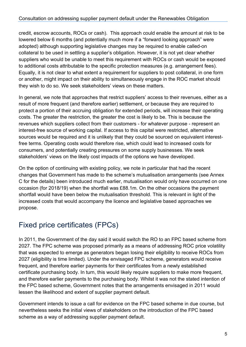credit, escrow accounts, ROCs or cash). This approach could enable the amount at risk to be lowered below 6 months (and potentially much more if a "forward looking approach" were adopted) although supporting legislative changes may be required to enable called-on collateral to be used in settling a supplier's obligation. However, it is not yet clear whether suppliers who would be unable to meet this requirement with ROCs or cash would be exposed to additional costs attributable to the specific protection measures (e.g. arrangement fees). Equally, it is not clear to what extent a requirement for suppliers to post collateral, in one form or another, might impact on their ability to simultaneously engage in the ROC market should they wish to do so. We seek stakeholders' views on these matters.

In general, we note that approaches that restrict suppliers' access to their revenues, either as a result of more frequent (and therefore earlier) settlement, or because they are required to protect a portion of their accruing obligation for extended periods, will increase their operating costs. The greater the restriction, the greater the cost is likely to be. This is because the revenues which suppliers collect from their customers - for whatever purpose - represent an interest-free source of working capital. If access to this capital were restricted, alternative sources would be required and it is unlikely that they could be sourced on equivalent interestfree terms. Operating costs would therefore rise, which could lead to increased costs for consumers, and potentially creating pressures on some supply businesses. We seek stakeholders' views on the likely cost impacts of the options we have developed.

On the option of continuing with existing policy, we note in particular that had the recent changes that Government has made to the scheme's mutualisation arrangements (see Annex C for the details) been introduced much earlier, mutualisation would only have occurred on one occasion (for 2018/19) when the shortfall was £88.1m. On the other occasions the payment shortfall would have been below the mutualisation threshold. This is relevant in light of the increased costs that would accompany the licence and legislative based approaches we propose.

## Fixed price certificates (FPCs)

In 2011, the Government of the day said it would switch the RO to an FPC based scheme from 2027. The FPC scheme was proposed primarily as a means of addressing ROC price volatility that was expected to emerge as generators began losing their eligibility to receive ROCs from 2027 (eligibility is time limited). Under the envisaged FPC scheme, generators would receive frequent, and therefore earlier payments for their certificates from a newly established certificate purchasing body. In turn, this would likely require suppliers to make more frequent, and therefore earlier payments to the purchasing body. Whilst it was not the stated intention of the FPC based scheme, Government notes that the arrangements envisaged in 2011 would lessen the likelihood and extent of supplier payment default.

Government intends to issue a call for evidence on the FPC based scheme in due course, but nevertheless seeks the initial views of stakeholders on the introduction of the FPC based scheme as a way of addressing supplier payment default.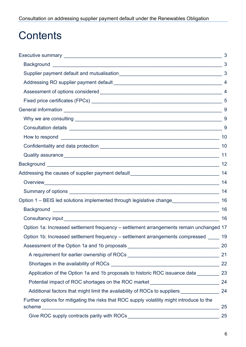## **Contents**

|                                                                                                               | 3              |
|---------------------------------------------------------------------------------------------------------------|----------------|
|                                                                                                               |                |
|                                                                                                               |                |
|                                                                                                               |                |
|                                                                                                               |                |
|                                                                                                               | $5\phantom{1}$ |
|                                                                                                               |                |
|                                                                                                               |                |
|                                                                                                               |                |
|                                                                                                               |                |
|                                                                                                               |                |
|                                                                                                               | 11             |
|                                                                                                               | 12             |
|                                                                                                               |                |
|                                                                                                               |                |
|                                                                                                               |                |
| Option 1 - BEIS led solutions implemented through legislative change____________________ 16                   |                |
|                                                                                                               | 16             |
|                                                                                                               | 16             |
| Option 1a: Increased settlement frequency - settlement arrangements remain unchanged 17                       |                |
| Option 1b: Increased settlement frequency - settlement arrangements compressed ____ 19                        |                |
|                                                                                                               | 20             |
|                                                                                                               |                |
|                                                                                                               | 22             |
| Application of the Option 1a and 1b proposals to historic ROC issuance data _________ 23                      |                |
| Potential impact of ROC shortages on the ROC market_____________________________                              | 24             |
| Additional factors that might limit the availability of ROCs to suppliers <b>Authority Concept Additional</b> | 24             |
| Further options for mitigating the risks that ROC supply volatility might introduce to the                    | 25             |
|                                                                                                               | 25             |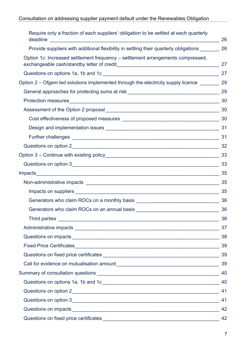| Require only a fraction of each suppliers' obligation to be settled at each quarterly             | 26  |
|---------------------------------------------------------------------------------------------------|-----|
| Provide suppliers with additional flexibility in settling their quarterly obligations ________ 26 |     |
| Option 1c: Increased settlement frequency – settlement arrangements compressed,                   |     |
|                                                                                                   | 27  |
| Option 2 – Ofgem led solutions implemented through the electricity supply licence ________ 29     |     |
|                                                                                                   |     |
|                                                                                                   |     |
|                                                                                                   |     |
|                                                                                                   |     |
|                                                                                                   | 31  |
|                                                                                                   |     |
|                                                                                                   |     |
|                                                                                                   |     |
|                                                                                                   |     |
|                                                                                                   |     |
|                                                                                                   | 35  |
|                                                                                                   |     |
|                                                                                                   |     |
|                                                                                                   |     |
|                                                                                                   | 36  |
|                                                                                                   | 37  |
|                                                                                                   | 38  |
|                                                                                                   |     |
|                                                                                                   |     |
|                                                                                                   | 39  |
|                                                                                                   | 40  |
|                                                                                                   |     |
|                                                                                                   |     |
|                                                                                                   | -41 |
|                                                                                                   | 42  |
|                                                                                                   | 42  |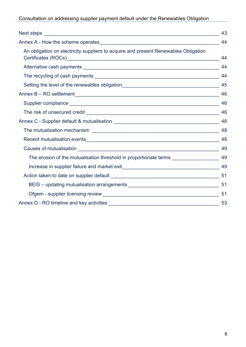### Consultation on addressing supplier payment default under the Renewables Obligation

|                                                                                           | 43 |
|-------------------------------------------------------------------------------------------|----|
|                                                                                           | 44 |
| An obligation on electricity suppliers to acquire and present Renewables Obligation       | 44 |
|                                                                                           | 44 |
|                                                                                           | 44 |
|                                                                                           |    |
|                                                                                           |    |
|                                                                                           |    |
|                                                                                           |    |
|                                                                                           |    |
|                                                                                           |    |
|                                                                                           |    |
|                                                                                           | 49 |
| The erosion of the mutualisation threshold in proportionate terms ____________________ 49 |    |
|                                                                                           |    |
|                                                                                           |    |
|                                                                                           |    |
|                                                                                           |    |
|                                                                                           |    |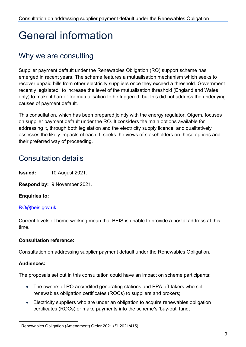## General information

## Why we are consulting

Supplier payment default under the Renewables Obligation (RO) support scheme has emerged in recent years. The scheme features a mutualisation mechanism which seeks to recover unpaid bills from other electricity suppliers once they exceed a threshold. Government recently legislated<sup>[3](#page-8-0)</sup> to increase the level of the mutualisation threshold (England and Wales only) to make it harder for mutualisation to be triggered, but this did not address the underlying causes of payment default.

This consultation, which has been prepared jointly with the energy regulator, Ofgem, focuses on supplier payment default under the RO. It considers the main options available for addressing it, through both legislation and the electricity supply licence, and qualitatively assesses the likely impacts of each. It seeks the views of stakeholders on these options and their preferred way of proceeding.

## Consultation details

**Issued:** 10 August 2021.

**Respond by:** 9 November 2021.

#### **Enquiries to:**

#### [RO@beis.gov.uk](mailto:RO@beis.gov.uk)

Current levels of home-working mean that BEIS is unable to provide a postal address at this time.

#### **Consultation reference:**

Consultation on addressing supplier payment default under the Renewables Obligation.

#### **Audiences:**

The proposals set out in this consultation could have an impact on scheme participants:

- The owners of RO accredited generating stations and PPA off-takers who sell renewables obligation certificates (ROCs) to suppliers and brokers;
- Electricity suppliers who are under an obligation to acquire renewables obligation certificates (ROCs) or make payments into the scheme's 'buy-out' fund;

<span id="page-8-0"></span><sup>3</sup> Renewables Obligation (Amendment) Order 2021 (SI 2021/415).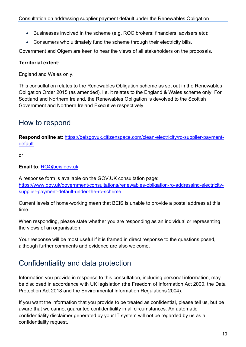- Businesses involved in the scheme (e.g. ROC brokers; financiers, advisers etc);
- Consumers who ultimately fund the scheme through their electricity bills.

Government and Ofgem are keen to hear the views of all stakeholders on the proposals.

#### **Territorial extent:**

England and Wales only.

This consultation relates to the Renewables Obligation scheme as set out in the Renewables Obligation Order 2015 (as amended), i.e. it relates to the England & Wales scheme only. For Scotland and Northern Ireland, the Renewables Obligation is devolved to the Scottish Government and Northern Ireland Executive respectively.

### How to respond

**Respond online at:** [https://beisgovuk.citizenspace.com/clean-electricity/ro-supplier-payment](https://eur02.safelinks.protection.outlook.com/?url=https%3A%2F%2Fbeisgovuk.citizenspace.com%2Fclean-electricity%2Fro-supplier-payment-default&data=04%7C01%7Ckatherine.donne%40beis.gov.uk%7Ce9046bfed02643b5788508d95b14b323%7Ccbac700502c143ebb497e6492d1b2dd8%7C0%7C1%7C637640966727399279%7CUnknown%7CTWFpbGZsb3d8eyJWIjoiMC4wLjAwMDAiLCJQIjoiV2luMzIiLCJBTiI6Ik1haWwiLCJXVCI6Mn0%3D%7C1000&sdata=b%2FbYCFvOZ2nFfjVmzkXdgDzpX7UUHXuaLPNx8jjP4DY%3D&reserved=0)[default](https://eur02.safelinks.protection.outlook.com/?url=https%3A%2F%2Fbeisgovuk.citizenspace.com%2Fclean-electricity%2Fro-supplier-payment-default&data=04%7C01%7Ckatherine.donne%40beis.gov.uk%7Ce9046bfed02643b5788508d95b14b323%7Ccbac700502c143ebb497e6492d1b2dd8%7C0%7C1%7C637640966727399279%7CUnknown%7CTWFpbGZsb3d8eyJWIjoiMC4wLjAwMDAiLCJQIjoiV2luMzIiLCJBTiI6Ik1haWwiLCJXVCI6Mn0%3D%7C1000&sdata=b%2FbYCFvOZ2nFfjVmzkXdgDzpX7UUHXuaLPNx8jjP4DY%3D&reserved=0)

or

#### **Email to**: [RO@beis.gov.uk](mailto:RO@beis.gov.uk)

A response form is available on the GOV.UK consultation page: [https://www.gov.uk/government/consultations/renewables-obligation-ro-addressing-electricity](https://eur02.safelinks.protection.outlook.com/?url=https%3A%2F%2Fwww.gov.uk%2Fgovernment%2Fconsultations%2Frenewables-obligation-ro-addressing-electricity-supplier-payment-default-under-the-ro-scheme&data=04%7C01%7Ckatherine.donne%40beis.gov.uk%7Ce9046bfed02643b5788508d95b14b323%7Ccbac700502c143ebb497e6492d1b2dd8%7C0%7C1%7C637640966727389318%7CUnknown%7CTWFpbGZsb3d8eyJWIjoiMC4wLjAwMDAiLCJQIjoiV2luMzIiLCJBTiI6Ik1haWwiLCJXVCI6Mn0%3D%7C1000&sdata=ocELo8tF8XsK622loEVPf7Vg4tyMhyR51Uklc0iYWbs%3D&reserved=0)[supplier-payment-default-under-the-ro-scheme](https://eur02.safelinks.protection.outlook.com/?url=https%3A%2F%2Fwww.gov.uk%2Fgovernment%2Fconsultations%2Frenewables-obligation-ro-addressing-electricity-supplier-payment-default-under-the-ro-scheme&data=04%7C01%7Ckatherine.donne%40beis.gov.uk%7Ce9046bfed02643b5788508d95b14b323%7Ccbac700502c143ebb497e6492d1b2dd8%7C0%7C1%7C637640966727389318%7CUnknown%7CTWFpbGZsb3d8eyJWIjoiMC4wLjAwMDAiLCJQIjoiV2luMzIiLCJBTiI6Ik1haWwiLCJXVCI6Mn0%3D%7C1000&sdata=ocELo8tF8XsK622loEVPf7Vg4tyMhyR51Uklc0iYWbs%3D&reserved=0)

Current levels of home-working mean that BEIS is unable to provide a postal address at this time.

When responding, please state whether you are responding as an individual or representing the views of an organisation.

Your response will be most useful if it is framed in direct response to the questions posed, although further comments and evidence are also welcome.

## Confidentiality and data protection

Information you provide in response to this consultation, including personal information, may be disclosed in accordance with UK legislation (the Freedom of Information Act 2000, the Data Protection Act 2018 and the Environmental Information Regulations 2004).

If you want the information that you provide to be treated as confidential, please tell us, but be aware that we cannot guarantee confidentiality in all circumstances. An automatic confidentiality disclaimer generated by your IT system will not be regarded by us as a confidentiality request.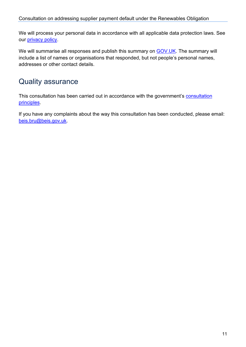We will process your personal data in accordance with all applicable data protection laws. See our [privacy policy.](https://www.gov.uk/government/organisations/department-for-business-energy-and-industrial-strategy/about/personal-information-charter)

We will summarise all responses and publish this summary on **GOV.UK**. The summary will include a list of names or organisations that responded, but not people's personal names, addresses or other contact details.

## Quality assurance

This consultation has been carried out in accordance with the government's [consultation](https://www.gov.uk/government/publications/consultation-principles-guidance)  [principles.](https://www.gov.uk/government/publications/consultation-principles-guidance)

If you have any complaints about the way this consultation has been conducted, please email: [beis.bru@beis.gov.uk.](mailto:beis.bru@beis.gov.uk)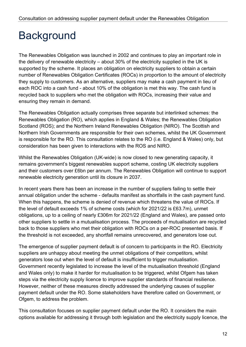## **Background**

The Renewables Obligation was launched in 2002 and continues to play an important role in the delivery of renewable electricity – about 30% of the electricity supplied in the UK is supported by the scheme. It places an obligation on electricity suppliers to obtain a certain number of Renewables Obligation Certificates (ROCs) in proportion to the amount of electricity they supply to customers. As an alternative, suppliers may make a cash payment in lieu of each ROC into a cash fund - about 10% of the obligation is met this way. The cash fund is recycled back to suppliers who met the obligation with ROCs, increasing their value and ensuring they remain in demand.

The Renewables Obligation actually comprises three separate but interlinked schemes: the Renewables Obligation (RO), which applies in England & Wales; the Renewables Obligation Scotland (ROS); and the Northern Ireland Renewables Obligation (NIRO). The Scottish and Northern Irish Governments are responsible for their own schemes, whilst the UK Government is responsible for the RO. This consultation relates to the RO (i.e. England & Wales) only, but consideration has been given to interactions with the ROS and NIRO.

Whilst the Renewables Obligation (UK-wide) is now closed to new generating capacity, it remains government's biggest renewables support scheme, costing UK electricity suppliers and their customers over £6bn per annum. The Renewables Obligation will continue to support renewable electricity generation until its closure in 2037.

In recent years there has been an increase in the number of suppliers failing to settle their annual obligation under the scheme - defaults manifest as shortfalls in the cash payment fund. When this happens, the scheme is denied of revenue which threatens the value of ROCs. If the level of default exceeds 1% of scheme costs (which for 2021/22 is £63.7m), unmet obligations, up to a ceiling of nearly £306m for 2021/22 (England and Wales), are passed onto other suppliers to settle in a mutualisation process. The proceeds of mutualisation are recycled back to those suppliers who met their obligation with ROCs on a per-ROC presented basis. If the threshold is not exceeded, any shortfall remains unrecovered, and generators lose out.

The emergence of supplier payment default is of concern to participants in the RO. Electricity suppliers are unhappy about meeting the unmet obligations of their competitors, whilst generators lose out when the level of default is insufficient to trigger mutualisation. Government recently legislated to increase the level of the mutualisation threshold (England and Wales only) to make it harder for mutualisation to be triggered, whilst Ofgem has taken steps via the electricity supply licence to improve supplier standards of financial resilience. However, neither of these measures directly addressed the underlying causes of supplier payment default under the RO. Some stakeholders have therefore called on Government, or Ofgem, to address the problem.

This consultation focuses on supplier payment default under the RO. It considers the main options available for addressing it through both legislation and the electricity supply licence, the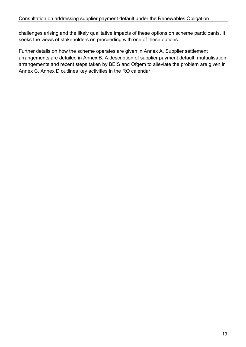challenges arising and the likely qualitative impacts of these options on scheme participants. It seeks the views of stakeholders on proceeding with one of these options.

Further details on how the scheme operates are given in Annex A. Supplier settlement arrangements are detailed in Annex B. A description of supplier payment default, mutualisation arrangements and recent steps taken by BEIS and Ofgem to alleviate the problem are given in Annex C. Annex D outlines key activities in the RO calendar.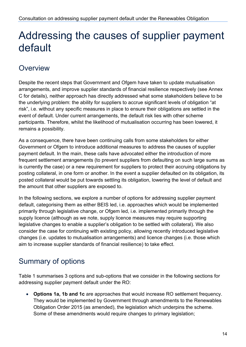## Addressing the causes of supplier payment default

## **Overview**

Despite the recent steps that Government and Ofgem have taken to update mutualisation arrangements, and improve supplier standards of financial resilience respectively (see Annex C for details), neither approach has directly addressed what some stakeholders believe to be the underlying problem: the ability for suppliers to accrue significant levels of obligation "at risk", i.e. without any specific measures in place to ensure their obligations are settled in the event of default. Under current arrangements, the default risk lies with other scheme participants. Therefore, whilst the likelihood of mutualisation occurring has been lowered, it remains a possibility.

As a consequence, there have been continuing calls from some stakeholders for either Government or Ofgem to introduce additional measures to address the causes of supplier payment default. In the main, these calls have advocated either the introduction of more frequent settlement arrangements (to prevent suppliers from defaulting on such large sums as is currently the case) or a new requirement for suppliers to protect their accruing obligations by posting collateral, in one form or another. In the event a supplier defaulted on its obligation, its posted collateral would be put towards settling its obligation, lowering the level of default and the amount that other suppliers are exposed to.

In the following sections, we explore a number of options for addressing supplier payment default, categorising them as either BEIS led, i.e. approaches which would be implemented primarily through legislative change, or Ofgem led, i.e. implemented primarily through the supply licence (although as we note, supply licence measures may require supporting legislative changes to enable a supplier's obligation to be settled with collateral). We also consider the case for continuing with existing policy, allowing recently introduced legislative changes (i.e. updates to mutualisation arrangements) and licence changes (i.e. those which aim to increase supplier standards of financial resilience) to take effect.

## Summary of options

Table 1 summarises 3 options and sub-options that we consider in the following sections for addressing supplier payment default under the RO:

• **Options 1a, 1b and 1c** are approaches that would increase RO settlement frequency. They would be implemented by Government through amendments to the Renewables Obligation Order 2015 (as amended), the legislation which underpins the scheme. Some of these amendments would require changes to primary legislation;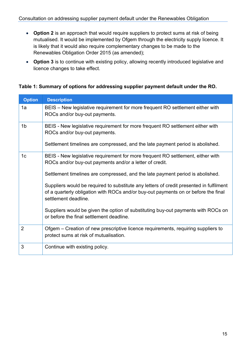- **Option 2** is an approach that would require suppliers to protect sums at risk of being mutualised. It would be implemented by Ofgem through the electricity supply licence. It is likely that it would also require complementary changes to be made to the Renewables Obligation Order 2015 (as amended);
- **Option 3** is to continue with existing policy, allowing recently introduced legislative and licence changes to take effect.

#### **Table 1: Summary of options for addressing supplier payment default under the RO.**

| <b>Option</b>  | <b>Description</b>                                                                                                                                                                                    |
|----------------|-------------------------------------------------------------------------------------------------------------------------------------------------------------------------------------------------------|
| 1a             | BEIS - New legislative requirement for more frequent RO settlement either with<br>ROCs and/or buy-out payments.                                                                                       |
| 1 <sub>b</sub> | BEIS - New legislative requirement for more frequent RO settlement either with<br>ROCs and/or buy-out payments.                                                                                       |
|                | Settlement timelines are compressed, and the late payment period is abolished.                                                                                                                        |
| 1 <sub>c</sub> | BEIS - New legislative requirement for more frequent RO settlement, either with<br>ROCs and/or buy-out payments and/or a letter of credit.                                                            |
|                | Settlement timelines are compressed, and the late payment period is abolished.                                                                                                                        |
|                | Suppliers would be required to substitute any letters of credit presented in fulfilment<br>of a quarterly obligation with ROCs and/or buy-out payments on or before the final<br>settlement deadline. |
|                | Suppliers would be given the option of substituting buy-out payments with ROCs on<br>or before the final settlement deadline.                                                                         |
| $\overline{2}$ | Ofgem – Creation of new prescriptive licence requirements, requiring suppliers to<br>protect sums at risk of mutualisation.                                                                           |
| 3              | Continue with existing policy.                                                                                                                                                                        |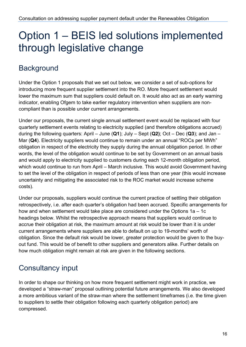## Option 1 – BEIS led solutions implemented through legislative change

## **Background**

Under the Option 1 proposals that we set out below, we consider a set of sub-options for introducing more frequent supplier settlement into the RO. More frequent settlement would lower the maximum sum that suppliers could default on. It would also act as an early warning indicator, enabling Ofgem to take earlier regulatory intervention when suppliers are noncompliant than is possible under current arrangements.

Under our proposals, the current single annual settlement event would be replaced with four quarterly settlement events relating to electricity supplied (and therefore obligations accrued) during the following quarters: April – June (**Q1**); July – Sept (**Q2)**; Oct – Dec (**Q3**); and Jan – Mar (**Q4**). Electricity suppliers would continue to remain under an annual "ROCs per MWh" obligation in respect of the electricity they supply during the annual obligation period. In other words, the level of the obligation would continue to be set by Government on an annual basis and would apply to electricity supplied to customers during each 12-month obligation period, which would continue to run from April – March inclusive. This would avoid Government having to set the level of the obligation in respect of periods of less than one year (this would increase uncertainty and mitigating the associated risk to the ROC market would increase scheme costs).

Under our proposals, suppliers would continue the current practice of settling their obligation retrospectively, i.e. after each quarter's obligation had been accrued. Specific arrangements for how and when settlement would take place are considered under the Options 1a – 1c headings below. Whilst the retrospective approach means that suppliers would continue to accrue their obligation at risk, the maximum amount at risk would be lower than it is under current arrangements where suppliers are able to default on up to 19-months' worth of obligation. Since the default risk would be lower, greater protection would be given to the buyout fund. This would be of benefit to other suppliers and generators alike. Further details on how much obligation might remain at risk are given in the following sections.

## Consultancy input

In order to shape our thinking on how more frequent settlement might work in practice, we developed a "straw-man" proposal outlining potential future arrangements. We also developed a more ambitious variant of the straw-man where the settlement timeframes (i.e. the time given to suppliers to settle their obligation following each quarterly obligation period) are compressed.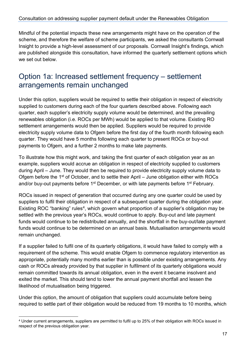Mindful of the potential impacts these new arrangements might have on the operation of the scheme, and therefore the welfare of scheme participants, we asked the consultants Cornwall Insight to provide a high-level assessment of our proposals. Cornwall Insight's findings, which are published alongside this consultation, have informed the quarterly settlement options which we set out below.

### Option 1a: Increased settlement frequency – settlement arrangements remain unchanged

Under this option, suppliers would be required to settle their obligation in respect of electricity supplied to customers during each of the four quarters described above. Following each quarter, each supplier's electricity supply volume would be determined, and the prevailing renewables obligation (i.e. ROCs per MWh) would be applied to that volume. Existing RO settlement arrangements would then be applied. Suppliers would be required to provide electricity supply volume data to Ofgem before the first day of the fourth month following each quarter. They would have 5 months following each quarter to present ROCs or buy-out payments to Ofgem, and a further 2 months to make late payments.

To illustrate how this might work, and taking the first quarter of each obligation year as an example, suppliers would accrue an obligation in respect of electricity supplied to customers during April – June. They would then be required to provide electricity supply volume data to Ofgem before the 1<sup>st</sup> of October, and to settle their April – June obligation either with ROCs and/or buy-out payments before 1<sup>st</sup> December, or with late payments before 1<sup>st</sup> February.

ROCs issued in respect of generation that occurred during any one quarter could be used by suppliers to fulfil their obligation in respect of a subsequent quarter during the obligation year. Existing ROC "banking" rules<sup>[4](#page-16-0)</sup>, which govern what proportion of a supplier's obligation may be settled with the previous year's ROCs, would continue to apply. Buy-out and late payment funds would continue to be redistributed annually, and the shortfall in the buy-out/late payment funds would continue to be determined on an annual basis. Mutualisation arrangements would remain unchanged.

If a supplier failed to fulfil one of its quarterly obligations, it would have failed to comply with a requirement of the scheme. This would enable Ofgem to commence regulatory intervention as appropriate, potentially many months earlier than is possible under existing arrangements. Any cash or ROCs already provided by that supplier in fulfilment of its quarterly obligations would remain committed towards its annual obligation, even in the event it became insolvent and exited the market. This should tend to lower the annual payment shortfall and lessen the likelihood of mutualisation being triggered.

Under this option, the amount of obligation that suppliers could accumulate before being required to settle part of their obligation would be reduced from 19 months to 10 months, which

<span id="page-16-0"></span><sup>4</sup> Under current arrangements, suppliers are permitted to fulfil up to 25% of their obligation with ROCs issued in respect of the previous obligation year.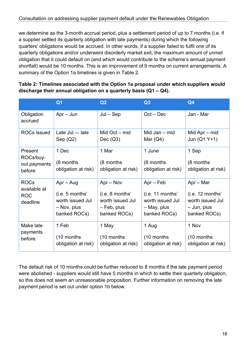we determine as the 3-month accrual period, plus a settlement period of up to 7 months (i.e. if a supplier settled its quarterly obligation with late payments) during which the following quarters' obligations would be accrued. In other words, if a supplier failed to fulfil one of its quarterly obligations and/or underwent disorderly market exit, the maximum amount of unmet obligation that it could default on (and which would contribute to the scheme's annual payment shortfall) would be 10 months. This is an improvement of 9 months on current arrangements. A summary of the Option 1a timelines is given in Table 2.

|                                                       | Q <sub>1</sub>                                     | Q <sub>2</sub>                                     | Q3                                                  | Q <sub>4</sub>                                    |
|-------------------------------------------------------|----------------------------------------------------|----------------------------------------------------|-----------------------------------------------------|---------------------------------------------------|
| Obligation<br>accrued                                 | $Apr - Jun$                                        | $Jul - Sep$                                        | $Oct - Dec$                                         | Jan - Mar                                         |
| ROCs issued                                           | Late Jul - late<br>Sep $(Q2)$                      | Mid $Oct - mid$<br>Dec $(Q3)$                      | Mid Jan $-$ mid<br>Mar $(Q4)$                       | Mid Apr – mid<br>Jun (Q1 Y+1)                     |
| Present<br>ROCs/buy-<br>out payments<br>before:       | 1 Dec<br>(8 months)<br>obligation at risk)         | 1 Mar<br>(8 months)<br>obligation at risk)         | 1 June<br>(8 months)<br>obligation at risk)         | 1 Sep<br>(8 months)<br>obligation at risk)        |
| <b>ROCs</b><br>available at<br><b>ROC</b><br>deadline | $Apr - Aug$<br>(i.e. 5 months)<br>worth issued Jul | $Apr - Nov$<br>(i.e. 8 months)<br>worth issued Jul | $Apr - Feb$<br>(i.e. 11 months)<br>worth issued Jul | Apr - Mar<br>(i.e. 12 months)<br>worth issued Jul |

– Feb, plus banked ROCs)

(10 months

obligation at risk)

1 May

– May, plus banked ROCs)

(10 months

obligation at risk)

1 Aug

– Jun, plus banked ROCs)

(10 months

obligation at risk)

1 Nov

– Nov, plus banked ROCs)

(10 months

obligation at risk)

1 Feb

Make late payments before:

#### **Table 2: Timelines associated with the Option 1a proposal under which suppliers would discharge their annual obligation on a quarterly basis (Q1 – Q4).**

The default risk of 10 months could be further reduced to 8 months if the late payment period were abolished - suppliers would still have 5 months in which to settle their quarterly obligation, so this does not seem an unreasonable proposition. Further information on removing the late payment period is set out under option 1b below.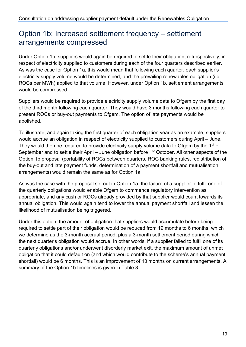### Option 1b: Increased settlement frequency – settlement arrangements compressed

Under Option 1b, suppliers would again be required to settle their obligation, retrospectively, in respect of electricity supplied to customers during each of the four quarters described earlier. As was the case for Option 1a, this would mean that following each quarter, each supplier's electricity supply volume would be determined, and the prevailing renewables obligation (i.e. ROCs per MWh) applied to that volume. However, under Option 1b, settlement arrangements would be compressed.

Suppliers would be required to provide electricity supply volume data to Ofgem by the first day of the third month following each quarter. They would have 3 months following each quarter to present ROCs or buy-out payments to Ofgem. The option of late payments would be abolished.

To illustrate, and again taking the first quarter of each obligation year as an example, suppliers would accrue an obligation in respect of electricity supplied to customers during April – June. They would then be required to provide electricity supply volume data to Ofgem by the 1<sup>st</sup> of September and to settle their April – June obligation before  $1<sup>st</sup>$  October. All other aspects of the Option 1b proposal (portability of ROCs between quarters, ROC banking rules, redistribution of the buy-out and late payment funds, determination of a payment shortfall and mutualisation arrangements) would remain the same as for Option 1a.

As was the case with the proposal set out in Option 1a, the failure of a supplier to fulfil one of the quarterly obligations would enable Ofgem to commence regulatory intervention as appropriate, and any cash or ROCs already provided by that supplier would count towards its annual obligation. This would again tend to lower the annual payment shortfall and lessen the likelihood of mutualisation being triggered.

Under this option, the amount of obligation that suppliers would accumulate before being required to settle part of their obligation would be reduced from 19 months to 6 months, which we determine as the 3-month accrual period, plus a 3-month settlement period during which the next quarter's obligation would accrue. In other words, if a supplier failed to fulfil one of its quarterly obligations and/or underwent disorderly market exit, the maximum amount of unmet obligation that it could default on (and which would contribute to the scheme's annual payment shortfall) would be 6 months. This is an improvement of 13 months on current arrangements. A summary of the Option 1b timelines is given in Table 3.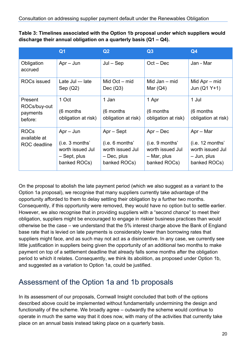| Table 3: Timelines associated with the Option 1b proposal under which suppliers would |
|---------------------------------------------------------------------------------------|
| discharge their annual obligation on a quarterly basis $(Q1 - Q4)$ .                  |

|                                                | Q <sub>1</sub>                                                                     | Q2                                                                               | Q3                                                                                | Q <sub>4</sub>                                                                     |
|------------------------------------------------|------------------------------------------------------------------------------------|----------------------------------------------------------------------------------|-----------------------------------------------------------------------------------|------------------------------------------------------------------------------------|
| Obligation<br>accrued                          | $Apr - Jun$                                                                        | $Jul - Sep$                                                                      | $Oct - Dec$                                                                       | Jan - Mar                                                                          |
| <b>ROCs issued</b>                             | Late Jul - late<br>Sep $(Q2)$                                                      | Mid Oct – mid<br>Dec $(Q3)$                                                      | Mid Jan – mid<br>Mar $(Q4)$                                                       | Mid Apr – mid<br>Jun $(Q1 Y+1)$                                                    |
| Present<br>ROCs/buy-out<br>payments<br>before: | 1 Oct<br>(6 months<br>obligation at risk)                                          | 1 Jan<br>$(6$ months<br>obligation at risk)                                      | 1 Apr<br>(6 months)<br>obligation at risk)                                        | 1 Jul<br>$(6$ months<br>obligation at risk)                                        |
| <b>ROCs</b><br>available at<br>ROC deadline    | $Apr - Jun$<br>(i.e. 3 months)<br>worth issued Jul<br>– Sept, plus<br>banked ROCs) | Apr – Sept<br>(i.e. 6 months)<br>worth issued Jul<br>- Dec, plus<br>banked ROCs) | $Apr - Dec$<br>(i.e. 9 months)<br>worth issued Jul<br>– Mar, plus<br>banked ROCs) | $Apr - Mar$<br>(i.e. 12 months)<br>worth issued Jul<br>- Jun, plus<br>banked ROCs) |

On the proposal to abolish the late payment period (which we also suggest as a variant to the Option 1a proposal), we recognise that many suppliers currently take advantage of the opportunity afforded to them to delay settling their obligation by a further two months. Consequently, if this opportunity were removed, they would have no option but to settle earlier. However, we also recognise that in providing suppliers with a "second chance" to meet their obligation, suppliers might be encouraged to engage in riskier business practices than would otherwise be the case – we understand that the 5% interest charge above the Bank of England base rate that is levied on late payments is considerably lower than borrowing rates that suppliers might face, and as such may not act as a disincentive. In any case, we currently see little justification in suppliers being given the opportunity of an additional two months to make payment on top of a settlement deadline that already falls some months after the obligation period to which it relates. Consequently, we think its abolition, as proposed under Option 1b, and suggested as a variation to Option 1a, could be justified.

## Assessment of the Option 1a and 1b proposals

In its assessment of our proposals, Cornwall Insight concluded that both of the options described above could be implemented without fundamentally undermining the design and functionality of the scheme. We broadly agree – outwardly the scheme would continue to operate in much the same way that it does now, with many of the activities that currently take place on an annual basis instead taking place on a quarterly basis.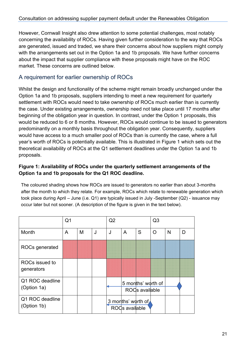However, Cornwall Insight also drew attention to some potential challenges, most notably concerning the availability of ROCs. Having given further consideration to the way that ROCs are generated, issued and traded, we share their concerns about how suppliers might comply with the arrangements set out in the Option 1a and 1b proposals. We have further concerns about the impact that supplier compliance with these proposals might have on the ROC market. These concerns are outlined below.

#### A requirement for earlier ownership of ROCs

Whilst the design and functionality of the scheme might remain broadly unchanged under the Option 1a and 1b proposals, suppliers intending to meet a new requirement for quarterly settlement with ROCs would need to take ownership of ROCs much earlier than is currently the case. Under existing arrangements, ownership need not take place until 17 months after beginning of the obligation year in question. In contrast, under the Option 1 proposals, this would be reduced to 6 or 8 months. However, ROCs would continue to be issued to generators predominantly on a monthly basis throughout the obligation year. Consequently, suppliers would have access to a much smaller pool of ROCs than is currently the case, where a full year's worth of ROCs is potentially available. This is illustrated in Figure 1 which sets out the theoretical availability of ROCs at the Q1 settlement deadlines under the Option 1a and 1b proposals.

#### **Figure 1: Availability of ROCs under the quarterly settlement arrangements of the Option 1a and 1b proposals for the Q1 ROC deadline.**

The coloured shading shows how ROCs are issued to generators no earlier than about 3-months after the month to which they relate. For example, ROCs which relate to renewable generation which took place during April – June (i.e. Q1) are typically issued in July -September (Q2) - issuance may occur later but not sooner. (A description of the figure is given in the text below).

|                                | Q <sub>1</sub> |   | Q2 |   | Q <sub>3</sub>                              |                            |   |   |   |
|--------------------------------|----------------|---|----|---|---------------------------------------------|----------------------------|---|---|---|
| Month                          | A              | M | J  | J | A                                           | S                          | O | N | D |
| <b>ROCs generated</b>          |                |   |    |   |                                             |                            |   |   |   |
| ROCs issued to<br>generators   |                |   |    |   |                                             |                            |   |   |   |
| Q1 ROC deadline                |                |   |    |   |                                             | 5 months' worth of         |   |   |   |
| (Option 1a)                    |                |   |    |   |                                             | ROO <sub>s</sub> available |   |   |   |
| Q1 ROC deadline<br>(Option 1b) |                |   |    |   | 3 months' worth of<br><b>ROGs available</b> |                            |   |   |   |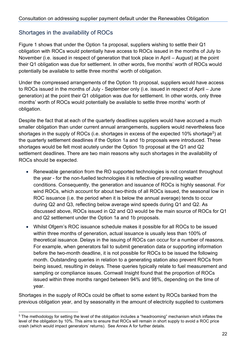#### Shortages in the availability of ROCs

Figure 1 shows that under the Option 1a proposal, suppliers wishing to settle their Q1 obligation with ROCs would potentially have access to ROCs issued in the months of July to November (i.e. issued in respect of generation that took place in April – August) at the point their Q1 obligation was due for settlement. In other words, five months' worth of ROCs would potentially be available to settle three months' worth of obligation.

Under the compressed arrangements of the Option 1b proposal, suppliers would have access to ROCs issued in the months of July - September only (i.e. issued in respect of April – June generation) at the point their Q1 obligation was due for settlement. In other words, only three months' worth of ROCs would potentially be available to settle three months' worth of obligation.

Despite the fact that at each of the quarterly deadlines suppliers would have accrued a much smaller obligation than under current annual arrangements, suppliers would nevertheless face shortages in the supply of ROCs (i.e. shortages in excess of the expected 10% shortage<sup>5</sup>) at the quarterly settlement deadlines if the Option 1a and 1b proposals were introduced. These shortages would be felt most acutely under the Option 1b proposal at the Q1 and Q2 settlement deadlines. There are two main reasons why such shortages in the availability of ROCs should be expected.

- Renewable generation from the RO supported technologies is not constant throughout the year - for the non-fuelled technologies it is reflective of prevailing weather conditions. Consequently, the generation and issuance of ROCs is highly seasonal. For wind ROCs, which account for about two-thirds of all ROCs issued, the seasonal low in ROC issuance (i.e. the period when it is below the annual average) tends to occur during Q2 and Q3, reflecting below average wind speeds during Q1 and Q2. As discussed above, ROCs issued in Q2 and Q3 would be the main source of ROCs for Q1 and Q2 settlement under the Option 1a and 1b proposals.
- Whilst Ofgem's ROC issuance schedule makes it possible for all ROCs to be issued within three months of generation, actual issuance is usually less than 100% of theoretical issuance. Delays in the issuing of ROCs can occur for a number of reasons. For example, when generators fail to submit generation data or supporting information before the two-month deadline, it is not possible for ROCs to be issued the following month. Outstanding queries in relation to a generating station also prevent ROCs from being issued, resulting in delays. These queries typically relate to fuel measurement and sampling or compliance issues. Cornwall Insight found that the proportion of ROCs issued within three months ranged between 94% and 98%, depending on the time of year.

Shortages in the supply of ROCs could be offset to some extent by ROCs banked from the previous obligation year, and by seasonality in the amount of electricity supplied to customers

<span id="page-21-0"></span><sup>&</sup>lt;sup>5</sup> The methodology for setting the level of the obligation includes a "headrooming" mechanism which inflates the level of the obligation by 10%. This aims to ensure that ROCs will remain in short supply to avoid a ROC price crash (which would impact generators' returns). See Annex A for further details.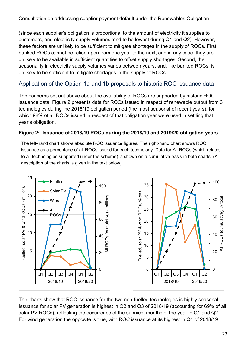(since each supplier's obligation is proportional to the amount of electricity it supplies to customers, and electricity supply volumes tend to be lowest during Q1 and Q2). However, these factors are unlikely to be sufficient to mitigate shortages in the supply of ROCs. First, banked ROCs cannot be relied upon from one year to the next, and in any case, they are unlikely to be available in sufficient quantities to offset supply shortages. Second, the seasonality in electricity supply volumes varies between years, and, like banked ROCs, is unlikely to be sufficient to mitigate shortages in the supply of ROCs.

#### Application of the Option 1a and 1b proposals to historic ROC issuance data

The concerns set out above about the availability of ROCs are supported by historic ROC issuance data. Figure 2 presents data for ROCs issued in respect of renewable output from 3 technologies during the 2018/19 obligation period (the most seasonal of recent years), for which 98% of all ROCs issued in respect of that obligation year were used in settling that year's obligation.

#### **Figure 2: Issuance of 2018/19 ROCs during the 2018/19 and 2019/20 obligation years.**

The left-hand chart shows absolute ROC issuance figures. The right-hand chart shows ROC issuance as a percentage of all ROCs issued for each technology. Data for All ROCs (which relates to all technologies supported under the scheme) is shown on a cumulative basis in both charts. (A description of the charts is given in the text below).



The charts show that ROC issuance for the two non-fuelled technologies is highly seasonal. Issuance for solar PV generation is highest in Q2 and Q3 of 2018/19 (accounting for 69% of all solar PV ROCs), reflecting the occurrence of the sunniest months of the year in Q1 and Q2. For wind generation the opposite is true, with ROC issuance at its highest in Q4 of 2018/19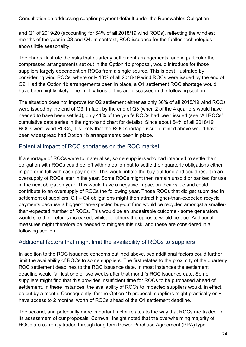and Q1 of 2019/20 (accounting for 64% of all 2018/19 wind ROCs), reflecting the windiest months of the year in Q3 and Q4. In contrast, ROC issuance for the fuelled technologies shows little seasonality.

The charts illustrate the risks that quarterly settlement arrangements, and in particular the compressed arrangements set out in the Option 1b proposal, would introduce for those suppliers largely dependent on ROCs from a single source. This is best illustrated by considering wind ROCs, where only 18% of all 2018/19 wind ROCs were issued by the end of Q2. Had the Option 1b arrangements been in place, a Q1 settlement ROC shortage would have been highly likely. The implications of this are discussed in the following section.

The situation does not improve for Q2 settlement either as only 36% of all 2018/19 wind ROCs were issued by the end of Q3. In fact, by the end of Q3 (when 2 of the 4 quarters would have needed to have been settled), only 41% of the year's ROCs had been issued (see "All ROCs" cumulative data series in the right-hand chart for details). Since about 64% of all 2018/19 ROCs were wind ROCs, it is likely that the ROC shortage issue outlined above would have been widespread had Option 1b arrangements been in place.

#### Potential impact of ROC shortages on the ROC market

If a shortage of ROCs were to materialise, some suppliers who had intended to settle their obligation with ROCs could be left with no option but to settle their quarterly obligations either in part or in full with cash payments. This would inflate the buy-out fund and could result in an oversupply of ROCs later in the year. Some ROCs might then remain unsold or banked for use in the next obligation year. This would have a negative impact on their value and could contribute to an oversupply of ROCs the following year. Those ROCs that did get submitted in settlement of suppliers' Q1 – Q4 obligations might then attract higher-than-expected recycle payments because a bigger-than-expected buy-out fund would be recycled amongst a smallerthan-expected number of ROCs. This would be an undesirable outcome - some generators would see their returns increased, whilst for others the opposite would be true. Additional measures might therefore be needed to mitigate this risk, and these are considered in a following section.

#### Additional factors that might limit the availability of ROCs to suppliers

In addition to the ROC issuance concerns outlined above, two additional factors could further limit the availability of ROCs to some suppliers. The first relates to the proximity of the quarterly ROC settlement deadlines to the ROC issuance date. In most instances the settlement deadline would fall just one or two weeks after that month's ROC issuance date. Some suppliers might find that this provides insufficient time for ROCs to be purchased ahead of settlement. In these instances, the availability of ROCs to impacted suppliers would, in effect, be cut by a month. Consequently, for the Option 1b proposal, suppliers might practically only have access to 2 months' worth of ROCs ahead of the Q1 settlement deadline.

The second, and potentially more important factor relates to the way that ROCs are traded. In its assessment of our proposals, Cornwall Insight noted that the overwhelming majority of ROCs are currently traded through long term Power Purchase Agreement (PPA) type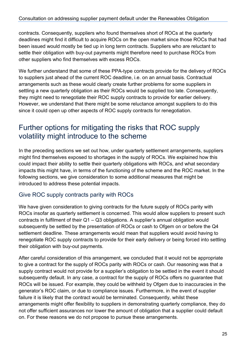contracts. Consequently, suppliers who found themselves short of ROCs at the quarterly deadlines might find it difficult to acquire ROCs on the open market since those ROCs that had been issued would mostly be tied up in long term contracts. Suppliers who are reluctant to settle their obligation with buy-out payments might therefore need to purchase ROCs from other suppliers who find themselves with excess ROCs.

We further understand that some of these PPA-type contracts provide for the delivery of ROCs to suppliers just ahead of the current ROC deadline, i.e. on an annual basis. Contractual arrangements such as these would clearly create further problems for some suppliers in settling a new quarterly obligation as their ROCs would be supplied too late. Consequently, they might need to renegotiate their ROC supply contracts to provide for earlier delivery. However, we understand that there might be some reluctance amongst suppliers to do this since it could open up other aspects of ROC supply contracts for renegotiation.

## Further options for mitigating the risks that ROC supply volatility might introduce to the scheme

In the preceding sections we set out how, under quarterly settlement arrangements, suppliers might find themselves exposed to shortages in the supply of ROCs. We explained how this could impact their ability to settle their quarterly obligations with ROCs, and what secondary impacts this might have, in terms of the functioning of the scheme and the ROC market. In the following sections, we give consideration to some additional measures that might be introduced to address these potential impacts.

#### Give ROC supply contracts parity with ROCs

We have given consideration to giving contracts for the future supply of ROCs parity with ROCs insofar as quarterly settlement is concerned. This would allow suppliers to present such contracts in fulfilment of their Q1 – Q3 obligations. A supplier's annual obligation would subsequently be settled by the presentation of ROCs or cash to Ofgem on or before the Q4 settlement deadline. These arrangements would mean that suppliers would avoid having to renegotiate ROC supply contracts to provide for their early delivery or being forced into settling their obligation with buy-out payments.

After careful consideration of this arrangement, we concluded that it would not be appropriate to give a contract for the supply of ROCs parity with ROCs or cash. Our reasoning was that a supply contract would not provide for a supplier's obligation to be settled in the event it should subsequently default. In any case, a contract for the supply of ROCs offers no guarantee that ROCs will be issued. For example, they could be withheld by Ofgem due to inaccuracies in the generator's ROC claim, or due to compliance issues. Furthermore, in the event of supplier failure it is likely that the contract would be terminated. Consequently, whilst these arrangements might offer flexibility to suppliers in demonstrating quarterly compliance, they do not offer sufficient assurances nor lower the amount of obligation that a supplier could default on. For these reasons we do not propose to pursue these arrangements.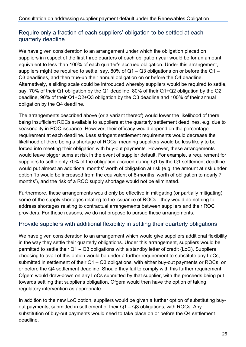#### Require only a fraction of each suppliers' obligation to be settled at each quarterly deadline

We have given consideration to an arrangement under which the obligation placed on suppliers in respect of the first three quarters of each obligation year would be for an amount equivalent to less than 100% of each quarter's accrued obligation. Under this arrangement, suppliers might be required to settle, say, 80% of  $Q1 - Q3$  obligations on or before the  $Q1 -$ Q3 deadlines, and then true-up their annual obligation on or before the Q4 deadline. Alternatively, a sliding scale could be introduced whereby suppliers would be required to settle, say, 70% of their Q1 obligation by the Q1 deadline, 80% of their Q1+Q2 obligation by the Q2 deadline, 90% of their Q1+Q2+Q3 obligation by the Q3 deadline and 100% of their annual obligation by the Q4 deadline.

The arrangements described above (or a variant thereof) would lower the likelihood of there being insufficient ROCs available to suppliers at the quarterly settlement deadlines, e.g. due to seasonality in ROC issuance. However, their efficacy would depend on the percentage requirement at each deadline. Less stringent settlement requirements would decrease the likelihood of there being a shortage of ROCs, meaning suppliers would be less likely to be forced into meeting their obligation with buy-out payments. However, these arrangements would leave bigger sums at risk in the event of supplier default. For example, a requirement for suppliers to settle only 70% of the obligation accrued during Q1 by the Q1 settlement deadline would put almost an additional months' worth of obligation at risk (e.g. the amount at risk under option 1b would be increased from the equivalent of 6-months' worth of obligation to nearly 7 months'), and the risk of a ROC supply shortage would not be eliminated.

Furthermore, these arrangements would only be effective in mitigating (or partially mitigating) some of the supply shortages relating to the issuance of ROCs - they would do nothing to address shortages relating to contractual arrangements between suppliers and their ROC providers. For these reasons, we do not propose to pursue these arrangements.

#### Provide suppliers with additional flexibility in settling their quarterly obligations

We have given consideration to an arrangement which would give suppliers additional flexibility in the way they settle their quarterly obligations. Under this arrangement, suppliers would be permitted to settle their Q1 – Q3 obligations with a standby letter of credit (LoC). Suppliers choosing to avail of this option would be under a further requirement to substitute any LoCs, submitted in settlement of their Q1 – Q3 obligations, with either buy-out payments or ROCs, on or before the Q4 settlement deadline. Should they fail to comply with this further requirement, Ofgem would draw-down on any LoCs submitted by that supplier, with the proceeds being put towards settling that supplier's obligation. Ofgem would then have the option of taking regulatory intervention as appropriate.

In addition to the new LoC option, suppliers would be given a further option of substituting buyout payments, submitted in settlement of their Q1 – Q3 obligations, with ROCs. Any substitution of buy-out payments would need to take place on or before the Q4 settlement deadline.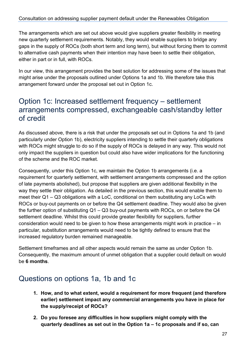The arrangements which are set out above would give suppliers greater flexibility in meeting new quarterly settlement requirements. Notably, they would enable suppliers to bridge any gaps in the supply of ROCs (both short term and long term), but without forcing them to commit to alternative cash payments when their intention may have been to settle their obligation, either in part or in full, with ROCs.

In our view, this arrangement provides the best solution for addressing some of the issues that might arise under the proposals outlined under Options 1a and 1b. We therefore take this arrangement forward under the proposal set out in Option 1c.

### Option 1c: Increased settlement frequency – settlement arrangements compressed, exchangeable cash/standby letter of credit

As discussed above, there is a risk that under the proposals set out in Options 1a and 1b (and particularly under Option 1b), electricity suppliers intending to settle their quarterly obligations with ROCs might struggle to do so if the supply of ROCs is delayed in any way. This would not only impact the suppliers in question but could also have wider implications for the functioning of the scheme and the ROC market.

Consequently, under this Option 1c, we maintain the Option 1b arrangements (i.e. a requirement for quarterly settlement, with settlement arrangements compressed and the option of late payments abolished), but propose that suppliers are given additional flexibility in the way they settle their obligation. As detailed in the previous section, this would enable them to meet their Q1 – Q3 obligations with a LoC, conditional on them substituting any LoCs with ROCs or buy-out payments on or before the Q4 settlement deadline. They would also be given the further option of substituting Q1 – Q3 buy-out payments with ROCs, on or before the Q4 settlement deadline. Whilst this could provide greater flexibility for suppliers, further consideration would need to be given to how these arrangements might work in practice – in particular, substitution arrangements would need to be tightly defined to ensure that the increased regulatory burden remained manageable.

Settlement timeframes and all other aspects would remain the same as under Option 1b. Consequently, the maximum amount of unmet obligation that a supplier could default on would be **6 months**.

## Questions on options 1a, 1b and 1c

- **1. How, and to what extent, would a requirement for more frequent (and therefore earlier) settlement impact any commercial arrangements you have in place for the supply/receipt of ROCs?**
- **2. Do you foresee any difficulties in how suppliers might comply with the quarterly deadlines as set out in the Option 1a – 1c proposals and if so, can**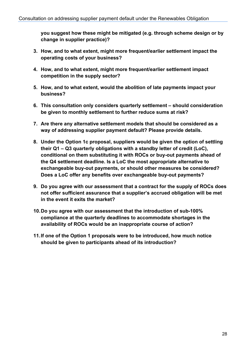**you suggest how these might be mitigated (e.g. through scheme design or by change in supplier practice)?**

- **3. How, and to what extent, might more frequent/earlier settlement impact the operating costs of your business?**
- **4. How, and to what extent, might more frequent/earlier settlement impact competition in the supply sector?**
- **5. How, and to what extent, would the abolition of late payments impact your business?**
- **6. This consultation only considers quarterly settlement – should consideration be given to monthly settlement to further reduce sums at risk?**
- **7. Are there any alternative settlement models that should be considered as a way of addressing supplier payment default? Please provide details.**
- **8. Under the Option 1c proposal, suppliers would be given the option of settling their Q1 – Q3 quarterly obligations with a standby letter of credit (LoC), conditional on them substituting it with ROCs or buy-out payments ahead of the Q4 settlement deadline. Is a LoC the most appropriate alternative to exchangeable buy-out payments, or should other measures be considered? Does a LoC offer any benefits over exchangeable buy-out payments?**
- **9. Do you agree with our assessment that a contract for the supply of ROCs does not offer sufficient assurance that a supplier's accrued obligation will be met in the event it exits the market?**
- **10.Do you agree with our assessment that the introduction of sub-100% compliance at the quarterly deadlines to accommodate shortages in the availability of ROCs would be an inappropriate course of action?**
- **11.If one of the Option 1 proposals were to be introduced, how much notice should be given to participants ahead of its introduction?**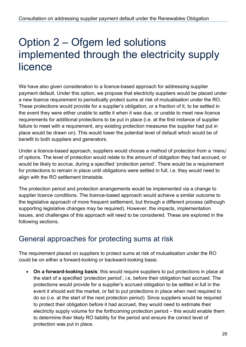## Option 2 – Ofgem led solutions implemented through the electricity supply licence

We have also given consideration to a licence-based approach for addressing supplier payment default. Under this option, we propose that electricity suppliers would be placed under a new licence requirement to periodically protect sums at risk of mutualisation under the RO. These protections would provide for a supplier's obligation, or a fraction of it, to be settled in the event they were either unable to settle it when it was due, or unable to meet new licence requirements for additional protections to be put in place (i.e. at the first instance of supplier failure to meet with a requirement, any existing protection measures the supplier had put in place would be drawn on). This would lower the potential level of default which would be of benefit to both suppliers and generators.

Under a licence-based approach, suppliers would choose a method of protection from a 'menu' of options. The level of protection would relate to the amount of obligation they had accrued, or would be likely to accrue, during a specified 'protection period'. There would be a requirement for protections to remain in place until obligations were settled in full, i.e. they would need to align with the RO settlement timetable.

The protection period and protection arrangements would be implemented via a change to supplier licence conditions. The licence-based approach would achieve a similar outcome to the legislative approach of more frequent settlement, but through a different process (although supporting legislative changes may be required). However, the impacts, implementation issues, and challenges of this approach will need to be considered. These are explored in the following sections.

## General approaches for protecting sums at risk

The requirement placed on suppliers to protect sums at risk of mutualisation under the RO could be on either a forward-looking or backward-looking basis:

• **On a forward-looking basis**: this would require suppliers to put protections in place at the start of a specified 'protection period', i.e. before their obligation had accrued. The protections would provide for a supplier's accrued obligation to be settled in full in the event it should exit the market, or fail to put protections in place when next required to do so (i.e. at the start of the next protection period). Since suppliers would be required to protect their obligation before it had accrued, they would need to estimate their electricity supply volume for the forthcoming protection period – this would enable them to determine their likely RO liability for the period and ensure the correct level of protection was put in place.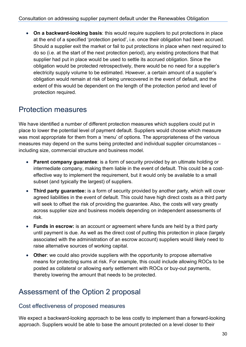• **On a backward-looking basis**: this would require suppliers to put protections in place at the end of a specified 'protection period', i.e. once their obligation had been accrued. Should a supplier exit the market or fail to put protections in place when next required to do so (i.e. at the start of the next protection period), any existing protections that that supplier had put in place would be used to settle its accrued obligation. Since the obligation would be protected retrospectively, there would be no need for a supplier's electricity supply volume to be estimated. However, a certain amount of a supplier's obligation would remain at risk of being unrecovered in the event of default, and the extent of this would be dependent on the length of the protection period and level of protection required.

### Protection measures

We have identified a number of different protection measures which suppliers could put in place to lower the potential level of payment default. Suppliers would choose which measure was most appropriate for them from a 'menu' of options. The appropriateness of the various measures may depend on the sums being protected and individual supplier circumstances – including size, commercial structure and business model.

- **Parent company guarantee**: is a form of security provided by an ultimate holding or intermediate company, making them liable in the event of default. This could be a costeffective way to implement the requirement, but it would only be available to a small subset (and typically the largest) of suppliers.
- **Third party guarantee:** is a form of security provided by another party, which will cover agreed liabilities in the event of default. This could have high direct costs as a third party will seek to offset the risk of providing the guarantee. Also, the costs will vary greatly across supplier size and business models depending on independent assessments of risk.
- **Funds in escrow:** is an account or agreement where funds are held by a third party until payment is due. As well as the direct cost of putting this protection in place (largely associated with the administration of an escrow account) suppliers would likely need to raise alternative sources of working capital.
- **Other**: we could also provide suppliers with the opportunity to propose alternative means for protecting sums at risk. For example, this could include allowing ROCs to be posted as collateral or allowing early settlement with ROCs or buy-out payments, thereby lowering the amount that needs to be protected.

### Assessment of the Option 2 proposal

#### Cost effectiveness of proposed measures

We expect a backward-looking approach to be less costly to implement than a forward-looking approach. Suppliers would be able to base the amount protected on a level closer to their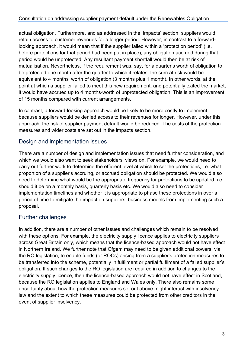actual obligation. Furthermore, and as addressed in the 'Impacts' section, suppliers would retain access to customer revenues for a longer period. However, in contrast to a forwardlooking approach, it would mean that if the supplier failed within a 'protection period' (i.e. before protections for that period had been put in place), any obligation accrued during that period would be unprotected. Any resultant payment shortfall would then be at risk of mutualisation. Nevertheless, if the requirement was, say, for a quarter's worth of obligation to be protected one month after the quarter to which it relates, the sum at risk would be equivalent to 4 months' worth of obligation (3 months plus 1 month). In other words, at the point at which a supplier failed to meet this new requirement, and potentially exited the market, it would have accrued up to 4 months-worth of unprotected obligation. This is an improvement of 15 months compared with current arrangements.

In contrast, a forward-looking approach would be likely to be more costly to implement because suppliers would be denied access to their revenues for longer. However, under this approach, the risk of supplier payment default would be reduced. The costs of the protection measures and wider costs are set out in the impacts section.

#### Design and implementation issues

There are a number of design and implementation issues that need further consideration, and which we would also want to seek stakeholders' views on. For example, we would need to carry out further work to determine the efficient level at which to set the protections, i.e. what proportion of a supplier's accruing, or accrued obligation should be protected. We would also need to determine what would be the appropriate frequency for protections to be updated, i.e. should it be on a monthly basis, quarterly basis etc. We would also need to consider implementation timelines and whether it is appropriate to phase these protections in over a period of time to mitigate the impact on suppliers' business models from implementing such a proposal.

#### Further challenges

In addition, there are a number of other issues and challenges which remain to be resolved with these options. For example, the electricity supply licence applies to electricity suppliers across Great Britain only, which means that the licence-based approach would not have effect in Northern Ireland. We further note that Ofgem may need to be given additional powers, via the RO legislation, to enable funds (or ROCs) arising from a supplier's protection measures to be transferred into the scheme, potentially in fulfilment or partial fulfilment of a failed supplier's obligation. If such changes to the RO legislation are required in addition to changes to the electricity supply licence, then the licence-based approach would not have effect in Scotland, because the RO legislation applies to England and Wales only. There also remains some uncertainty about how the protection measures set out above might interact with insolvency law and the extent to which these measures could be protected from other creditors in the event of supplier insolvency.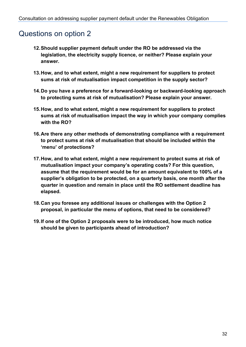### Questions on option 2

- **12.Should supplier payment default under the RO be addressed via the legislation, the electricity supply licence, or neither? Please explain your answer.**
- **13.How, and to what extent, might a new requirement for suppliers to protect sums at risk of mutualisation impact competition in the supply sector?**
- **14.Do you have a preference for a forward-looking or backward-looking approach to protecting sums at risk of mutualisation? Please explain your answer.**
- **15.How, and to what extent, might a new requirement for suppliers to protect sums at risk of mutualisation impact the way in which your company complies with the RO?**
- **16.Are there any other methods of demonstrating compliance with a requirement to protect sums at risk of mutualisation that should be included within the 'menu' of protections?**
- **17.How, and to what extent, might a new requirement to protect sums at risk of mutualisation impact your company's operating costs? For this question, assume that the requirement would be for an amount equivalent to 100% of a supplier's obligation to be protected, on a quarterly basis, one month after the quarter in question and remain in place until the RO settlement deadline has elapsed.**
- **18.Can you foresee any additional issues or challenges with the Option 2 proposal, in particular the menu of options, that need to be considered?**
- **19.If one of the Option 2 proposals were to be introduced, how much notice should be given to participants ahead of introduction?**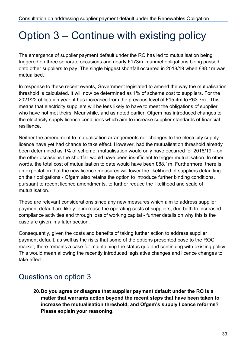## Option 3 – Continue with existing policy

The emergence of supplier payment default under the RO has led to mutualisation being triggered on three separate occasions and nearly £173m in unmet obligations being passed onto other suppliers to pay. The single biggest shortfall occurred in 2018/19 when £88.1m was mutualised.

In response to these recent events, Government legislated to amend the way the mutualisation threshold is calculated. It will now be determined as 1% of scheme cost to suppliers. For the 2021/22 obligation year, it has increased from the previous level of £15.4m to £63.7m. This means that electricity suppliers will be less likely to have to meet the obligations of supplier who have not met theirs. Meanwhile, and as noted earlier, Ofgem has introduced changes to the electricity supply licence conditions which aim to increase supplier standards of financial resilience.

Neither the amendment to mutualisation arrangements nor changes to the electricity supply licence have yet had chance to take effect. However, had the mutualisation threshold already been determined as 1% of scheme, mutualisation would only have occurred for 2018/19 – on the other occasions the shortfall would have been insufficient to trigger mutualisation. In other words, the total cost of mutualisation to date would have been £88.1m. Furthermore, there is an expectation that the new licence measures will lower the likelihood of suppliers defaulting on their obligations - Ofgem also retains the option to introduce further binding conditions, pursuant to recent licence amendments, to further reduce the likelihood and scale of mutualisation.

These are relevant considerations since any new measures which aim to address supplier payment default are likely to increase the operating costs of suppliers, due both to increased compliance activities and through loss of working capital - further details on why this is the case are given in a later section.

Consequently, given the costs and benefits of taking further action to address supplier payment default, as well as the risks that some of the options presented pose to the ROC market, there remains a case for maintaining the status quo and continuing with existing policy. This would mean allowing the recently introduced legislative changes and licence changes to take effect.

## Questions on option 3

**20.Do you agree or disagree that supplier payment default under the RO is a matter that warrants action beyond the recent steps that have been taken to increase the mutualisation threshold, and Ofgem's supply licence reforms? Please explain your reasoning.**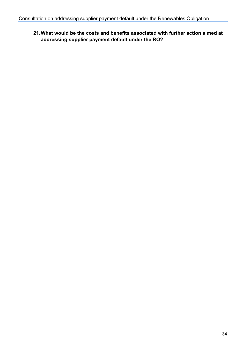#### **21.What would be the costs and benefits associated with further action aimed at addressing supplier payment default under the RO?**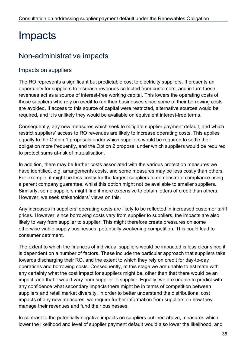## Impacts

## Non-administrative impacts

#### Impacts on suppliers

The RO represents a significant but predictable cost to electricity suppliers. It presents an opportunity for suppliers to increase revenues collected from customers, and in turn these revenues act as a source of interest-free working capital. This lowers the operating costs of those suppliers who rely on credit to run their businesses since some of their borrowing costs are avoided. If access to this source of capital were restricted, alternative sources would be required, and it is unlikely they would be available on equivalent interest-free terms.

Consequently, any new measures which seek to mitigate supplier payment default, and which restrict suppliers' access to RO revenues are likely to increase operating costs. This applies equally to the Option 1 proposals under which suppliers would be required to settle their obligation more frequently, and the Option 2 proposal under which suppliers would be required to protect sums at-risk of mutualisation.

In addition, there may be further costs associated with the various protection measures we have identified, e.g. arrangements costs, and some measures may be less costly than others. For example, it might be less costly for the largest suppliers to demonstrate compliance using a parent company guarantee, whilst this option might not be available to smaller suppliers. Similarly, some suppliers might find it more expensive to obtain letters of credit than others. However, we seek stakeholders' views on this.

Any increases in suppliers' operating costs are likely to be reflected in increased customer tariff prices. However, since borrowing costs vary from supplier to suppliers, the impacts are also likely to vary from supplier to supplier. This might therefore create pressures on some otherwise viable supply businesses, potentially weakening competition. This could lead to consumer detriment.

The extent to which the finances of individual suppliers would be impacted is less clear since it is dependent on a number of factors. These include the particular approach that suppliers take towards discharging their RO, and the extent to which they rely on credit for day-to-day operations and borrowing costs. Consequently, at this stage we are unable to estimate with any certainty what the cost impact for suppliers might be, other than that there would be an impact, and that it would vary from supplier to supplier. Equally, we are unable to predict with any confidence what secondary impacts there might be in terms of competition between suppliers and retail market diversity. In order to better understand the distributional cost impacts of any new measures, we require further information from suppliers on how they manage their revenues and fund their businesses.

In contrast to the potentially negative impacts on suppliers outlined above, measures which lower the likelihood and level of supplier payment default would also lower the likelihood, and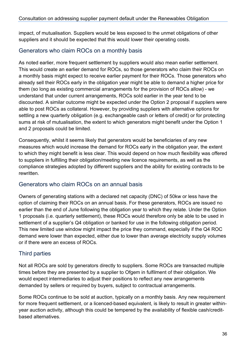impact, of mutualisation. Suppliers would be less exposed to the unmet obligations of other suppliers and it should be expected that this would lower their operating costs.

#### Generators who claim ROCs on a monthly basis

As noted earlier, more frequent settlement by suppliers would also mean earlier settlement. This would create an earlier demand for ROCs, so those generators who claim their ROCs on a monthly basis might expect to receive earlier payment for their ROCs. Those generators who already sell their ROCs early in the obligation year might be able to demand a higher price for them (so long as existing commercial arrangements for the provision of ROCs allow) - we understand that under current arrangements, ROCs sold earlier in the year tend to be discounted. A similar outcome might be expected under the Option 2 proposal if suppliers were able to post ROCs as collateral. However, by providing suppliers with alternative options for settling a new quarterly obligation (e.g. exchangeable cash or letters of credit) or for protecting sums at risk of mutualisation, the extent to which generators might benefit under the Option 1 and 2 proposals could be limited.

Consequently, whilst it seems likely that generators would be beneficiaries of any new measures which would increase the demand for ROCs early in the obligation year, the extent to which they might benefit is less clear. This would depend on how much flexibility was offered to suppliers in fulfilling their obligation/meeting new licence requirements, as well as the compliance strategies adopted by different suppliers and the ability for existing contracts to be rewritten.

#### Generators who claim ROCs on an annual basis

Owners of generating stations with a declared net capacity (DNC) of 50kw or less have the option of claiming their ROCs on an annual basis. For these generators, ROCs are issued no earlier than the end of June following the obligation year to which they relate. Under the Option 1 proposals (i.e. quarterly settlement), these ROCs would therefore only be able to be used in settlement of a supplier's Q4 obligation or banked for use in the following obligation period. This new limited use window might impact the price they command, especially if the Q4 ROC demand were lower than expected, either due to lower than average electricity supply volumes or if there were an excess of ROCs.

#### Third parties

Not all ROCs are sold by generators directly to suppliers. Some ROCs are transacted multiple times before they are presented by a supplier to Ofgem in fulfilment of their obligation. We would expect intermediaries to adjust their positions to reflect any new arrangements demanded by sellers or required by buyers, subject to contractual arrangements.

Some ROCs continue to be sold at auction, typically on a monthly basis. Any new requirement for more frequent settlement, or a licenced-based equivalent, is likely to result in greater withinyear auction activity, although this could be tempered by the availability of flexible cash/creditbased alternatives.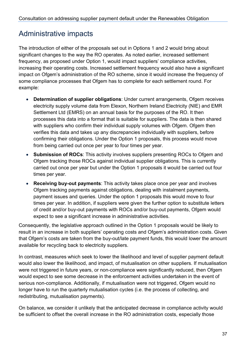## Administrative impacts

The introduction of either of the proposals set out in Options 1 and 2 would bring about significant changes to the way the RO operates. As noted earlier, increased settlement frequency, as proposed under Option 1, would impact suppliers' compliance activities, increasing their operating costs. Increased settlement frequency would also have a significant impact on Ofgem's administration of the RO scheme, since it would increase the frequency of some compliance processes that Ofgem has to complete for each settlement round. For example:

- **Determination of supplier obligations**: Under current arrangements, Ofgem receives electricity supply volume data from Elexon, Northern Ireland Electricity (NIE) and EMR Settlement Ltd (EMRS) on an annual basis for the purposes of the RO. It then processes this data into a format that is suitable for suppliers. The data is then shared with suppliers who confirm their individual supply volumes with Ofgem. Ofgem then verifies this data and takes up any discrepancies individually with suppliers, before confirming their obligations. Under the Option 1 proposals, this process would move from being carried out once per year to four times per year.
- **Submission of ROCs**: This activity involves suppliers presenting ROCs to Ofgem and Ofgem tracking those ROCs against individual supplier obligations. This is currently carried out once per year but under the Option 1 proposals it would be carried out four times per year.
- **Receiving buy-out payments**: This activity takes place once per year and involves Ofgem tracking payments against obligations, dealing with instalment payments, payment issues and queries. Under the option 1 proposals this would move to four times per year. In addition, if suppliers were given the further option to substitute letters of credit and/or buy-out payments with ROCs and/or buy-out payments, Ofgem would expect to see a significant increase in administrative activities.

Consequently, the legislative approach outlined in the Option 1 proposals would be likely to result in an increase in both suppliers' operating costs and Ofgem's administration costs. Given that Ofgem's costs are taken from the buy-out/late payment funds, this would lower the amount available for recycling back to electricity suppliers.

In contrast, measures which seek to lower the likelihood and level of supplier payment default would also lower the likelihood, and impact, of mutualisation on other suppliers. If mutualisation were not triggered in future years, or non-compliance were significantly reduced, then Ofgem would expect to see some decrease in the enforcement activities undertaken in the event of serious non-compliance. Additionally, if mutualisation were not triggered, Ofgem would no longer have to run the quarterly mutualisation cycles (i.e. the process of collecting, and redistributing, mutualisation payments).

On balance, we consider it unlikely that the anticipated decrease in compliance activity would be sufficient to offset the overall increase in the RO administration costs, especially those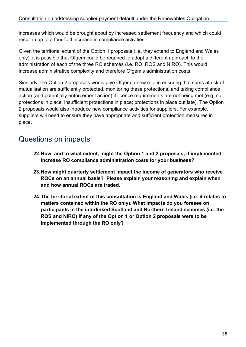increases which would be brought about by increased settlement frequency and which could result in up to a four-fold increase in compliance activities.

Given the territorial extent of the Option 1 proposals (i.e. they extend to England and Wales only), it is possible that Ofgem could be required to adopt a different approach to the administration of each of the three RO schemes (i.e. RO, ROS and NIRO). This would increase administrative complexity and therefore Ofgem's administration costs.

Similarly, the Option 2 proposals would give Ofgem a new role in ensuring that sums at risk of mutualisation are sufficiently protected, monitoring these protections, and taking compliance action (and potentially enforcement action) if licence requirements are not being met (e.g. no protections in place; insufficient protections in place; protections in place but late). The Option 2 proposals would also introduce new compliance activities for suppliers. For example, suppliers will need to ensure they have appropriate and sufficient protection measures in place.

## Questions on impacts

- **22.How, and to what extent, might the Option 1 and 2 proposals, if implemented, increase RO compliance administration costs for your business?**
- **23.How might quarterly settlement impact the income of generators who receive ROCs on an annual basis? Please explain your reasoning and explain when and how annual ROCs are traded.**
- **24.The territorial extent of this consultation is England and Wales (i.e. it relates to matters contained within the RO only). What impacts do you foresee on participants in the interlinked Scotland and Northern Ireland schemes (i.e. the ROS and NIRO) if any of the Option 1 or Option 2 proposals were to be implemented through the RO only?**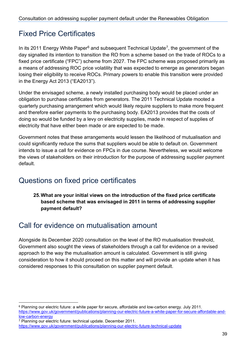## Fixed Price Certificates

In its 2011 Energy White Paper $6$  and subsequent Technical Update<sup>7</sup>, the government of the day signalled its intention to transition the RO from a scheme based on the trade of ROCs to a fixed price certificate ("FPC") scheme from 2027. The FPC scheme was proposed primarily as a means of addressing ROC price volatility that was expected to emerge as generators began losing their eligibility to receive ROCs. Primary powers to enable this transition were provided in the Energy Act 2013 ("EA2013").

Under the envisaged scheme, a newly installed purchasing body would be placed under an obligation to purchase certificates from generators. The 2011 Technical Update mooted a quarterly purchasing arrangement which would likely require suppliers to make more frequent and therefore earlier payments to the purchasing body. EA2013 provides that the costs of doing so would be funded by a levy on electricity supplies, made in respect of supplies of electricity that have either been made or are expected to be made.

Government notes that these arrangements would lessen the likelihood of mutualisation and could significantly reduce the sums that suppliers would be able to default on. Government intends to issue a call for evidence on FPCs in due course. Nevertheless, we would welcome the views of stakeholders on their introduction for the purpose of addressing supplier payment default.

## Questions on fixed price certificates

**25.What are your initial views on the introduction of the fixed price certificate based scheme that was envisaged in 2011 in terms of addressing supplier payment default?**

## Call for evidence on mutualisation amount

Alongside its December 2020 consultation on the level of the RO mutualisation threshold, Government also sought the views of stakeholders through a call for evidence on a revised approach to the way the mutualisation amount is calculated. Government is still giving consideration to how it should proceed on this matter and will provide an update when it has considered responses to this consultation on supplier payment default.

<span id="page-38-0"></span> $6$  Planning our electric future: a white paper for secure, affordable and low-carbon energy. July 2011. [https://www.gov.uk/government/publications/planning-our-electric-future-a-white-paper-for-secure-affordable-and](https://www.gov.uk/government/publications/planning-our-electric-future-a-white-paper-for-secure-affordable-and-low-carbon-energy)[low-carbon-energy](https://www.gov.uk/government/publications/planning-our-electric-future-a-white-paper-for-secure-affordable-and-low-carbon-energy)

<span id="page-38-1"></span><sup>7</sup> Planning our electric future: technical update. December 2011. <https://www.gov.uk/government/publications/planning-our-electric-future-technical-update>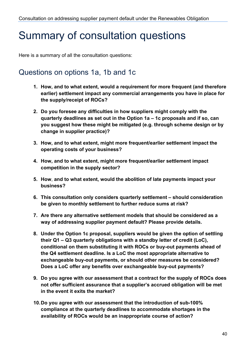## Summary of consultation questions

Here is a summary of all the consultation questions:

## Questions on options 1a, 1b and 1c

- **1. How, and to what extent, would a requirement for more frequent (and therefore earlier) settlement impact any commercial arrangements you have in place for the supply/receipt of ROCs?**
- **2. Do you foresee any difficulties in how suppliers might comply with the quarterly deadlines as set out in the Option 1a – 1c proposals and if so, can you suggest how these might be mitigated (e.g. through scheme design or by change in supplier practice)?**
- **3. How, and to what extent, might more frequent/earlier settlement impact the operating costs of your business?**
- **4. How, and to what extent, might more frequent/earlier settlement impact competition in the supply sector?**
- **5. How**, **and to what extent, would the abolition of late payments impact your business?**
- **6. This consultation only considers quarterly settlement – should consideration be given to monthly settlement to further reduce sums at risk?**
- **7. Are there any alternative settlement models that should be considered as a way of addressing supplier payment default? Please provide details.**
- **8. Under the Option 1c proposal, suppliers would be given the option of settling their Q1 – Q3 quarterly obligations with a standby letter of credit (LoC), conditional on them substituting it with ROCs or buy-out payments ahead of the Q4 settlement deadline. Is a LoC the most appropriate alternative to exchangeable buy-out payments, or should other measures be considered? Does a LoC offer any benefits over exchangeable buy-out payments?**
- **9. Do you agree with our assessment that a contract for the supply of ROCs does not offer sufficient assurance that a supplier's accrued obligation will be met in the event it exits the market?**
- **10.Do you agree with our assessment that the introduction of sub-100% compliance at the quarterly deadlines to accommodate shortages in the availability of ROCs would be an inappropriate course of action?**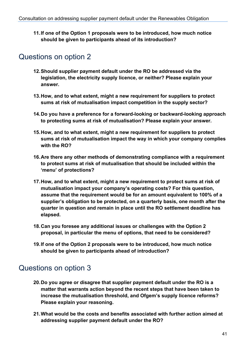**11.If one of the Option 1 proposals were to be introduced, how much notice should be given to participants ahead of its introduction?**

## Questions on option 2

- **12.Should supplier payment default under the RO be addressed via the legislation, the electricity supply licence, or neither? Please explain your answer.**
- **13.How, and to what extent, might a new requirement for suppliers to protect sums at risk of mutualisation impact competition in the supply sector?**
- **14.Do you have a preference for a forward-looking or backward-looking approach to protecting sums at risk of mutualisation? Please explain your answer.**
- **15.How, and to what extent, might a new requirement for suppliers to protect sums at risk of mutualisation impact the way in which your company complies with the RO?**
- **16.Are there any other methods of demonstrating compliance with a requirement to protect sums at risk of mutualisation that should be included within the 'menu' of protections?**
- **17.How, and to what extent, might a new requirement to protect sums at risk of mutualisation impact your company's operating costs? For this question, assume that the requirement would be for an amount equivalent to 100% of a supplier's obligation to be protected, on a quarterly basis, one month after the quarter in question and remain in place until the RO settlement deadline has elapsed.**
- **18.Can you foresee any additional issues or challenges with the Option 2 proposal, in particular the menu of options, that need to be considered?**
- **19.If one of the Option 2 proposals were to be introduced, how much notice should be given to participants ahead of introduction?**

## Questions on option 3

- **20.Do you agree or disagree that supplier payment default under the RO is a matter that warrants action beyond the recent steps that have been taken to increase the mutualisation threshold, and Ofgem's supply licence reforms? Please explain your reasoning.**
- **21.What would be the costs and benefits associated with further action aimed at addressing supplier payment default under the RO?**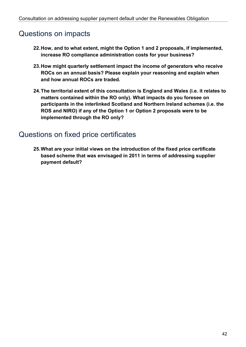### Questions on impacts

- **22.How, and to what extent, might the Option 1 and 2 proposals, if implemented, increase RO compliance administration costs for your business?**
- **23.How might quarterly settlement impact the income of generators who receive ROCs on an annual basis? Please explain your reasoning and explain when and how annual ROCs are traded.**
- **24.The territorial extent of this consultation is England and Wales (i.e. it relates to matters contained within the RO only). What impacts do you foresee on participants in the interlinked Scotland and Northern Ireland schemes (i.e. the ROS and NIRO) if any of the Option 1 or Option 2 proposals were to be implemented through the RO only?**

### Questions on fixed price certificates

**25.What are your initial views on the introduction of the fixed price certificate based scheme that was envisaged in 2011 in terms of addressing supplier payment default?**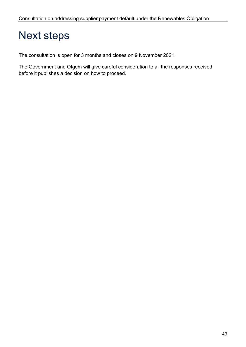## Next steps

The consultation is open for 3 months and closes on 9 November 2021.

The Government and Ofgem will give careful consideration to all the responses received before it publishes a decision on how to proceed.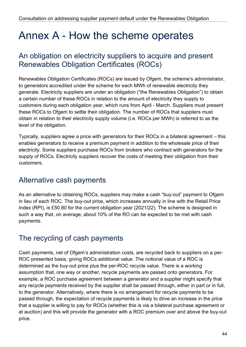## Annex A - How the scheme operates

## An obligation on electricity suppliers to acquire and present Renewables Obligation Certificates (ROCs)

Renewables Obligation Certificates (ROCs) are issued by Ofgem, the scheme's administrator, to generators accredited under the scheme for each MWh of renewable electricity they generate. Electricity suppliers are under an obligation ("the Renewables Obligation") to obtain a certain number of these ROCs in relation to the amount of electricity they supply to customers during each obligation year, which runs from April - March. Suppliers must present these ROCs to Ofgem to settle their obligation. The number of ROCs that suppliers must obtain in relation to their electricity supply volume (i.e. ROCs per MWh) is referred to as the level of the obligation.

Typically, suppliers agree a price with generators for their ROCs in a bilateral agreement – this enables generators to receive a premium payment in addition to the wholesale price of their electricity. Some suppliers purchase ROCs from brokers who contract with generators for the supply of ROCs. Electricity suppliers recover the costs of meeting their obligation from their customers.

### Alternative cash payments

As an alternative to obtaining ROCs, suppliers may make a cash "buy-out" payment to Ofgem in lieu of each ROC. The buy-out price, which increases annually in line with the Retail Price Index (RPI), is £50.80 for the current obligation year (2021/22). The scheme is designed in such a way that, on average, about 10% of the RO can be expected to be met with cash payments.

## The recycling of cash payments

Cash payments, net of Ofgem's administration costs, are recycled back to suppliers on a per-ROC presented basis, giving ROCs additional value. The notional value of a ROC is determined as the buy-out price plus the per-ROC recycle value. There is a working assumption that, one way or another, recycle payments are passed onto generators. For example, a ROC purchase agreement between a generator and a supplier might specify that any recycle payments received by the supplier shall be passed through, either in part or in full, to the generator. Alternatively, where there is no arrangement for recycle payments to be passed through, the expectation of recycle payments is likely to drive an increase in the price that a supplier is willing to pay for ROCs (whether this is via a bilateral purchase agreement or at auction) and this will provide the generator with a ROC premium over and above the buy-out price.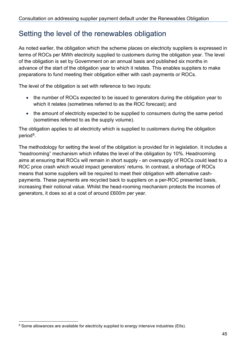### Setting the level of the renewables obligation

As noted earlier, the obligation which the scheme places on electricity suppliers is expressed in terms of ROCs per MWh electricity supplied to customers during the obligation year. The level of the obligation is set by Government on an annual basis and published six months in advance of the start of the obligation year to which it relates. This enables suppliers to make preparations to fund meeting their obligation either with cash payments or ROCs.

The level of the obligation is set with reference to two inputs:

- the number of ROCs expected to be issued to generators during the obligation year to which it relates (sometimes referred to as the ROC forecast); and
- the amount of electricity expected to be supplied to consumers during the same period (sometimes referred to as the supply volume).

The obligation applies to all electricity which is supplied to customers during the obligation period<sup>8</sup>.

The methodology for setting the level of the obligation is provided for in legislation. It includes a "headrooming" mechanism which inflates the level of the obligation by 10%. Headrooming aims at ensuring that ROCs will remain in short supply - an oversupply of ROCs could lead to a ROC price crash which would impact generators' returns. In contrast, a shortage of ROCs means that some suppliers will be required to meet their obligation with alternative cashpayments. These payments are recycled back to suppliers on a per-ROC presented basis, increasing their notional value. Whilst the head-rooming mechanism protects the incomes of generators, it does so at a cost of around £600m per year.

<span id="page-44-0"></span><sup>&</sup>lt;sup>8</sup> Some allowances are available for electricity supplied to energy intensive industries (EIIs).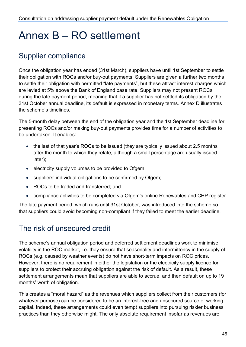## Annex B – RO settlement

## Supplier compliance

Once the obligation year has ended (31st March), suppliers have until 1st September to settle their obligation with ROCs and/or buy-out payments. Suppliers are given a further two months to settle their obligation with permitted "late payments", but these attract interest charges which are levied at 5% above the Bank of England base rate. Suppliers may not present ROCs during the late payment period, meaning that if a supplier has not settled its obligation by the 31st October annual deadline, its default is expressed in monetary terms. Annex D illustrates the scheme's timelines.

The 5-month delay between the end of the obligation year and the 1st September deadline for presenting ROCs and/or making buy-out payments provides time for a number of activities to be undertaken. It enables:

- the last of that year's ROCs to be issued (they are typically issued about 2.5 months after the month to which they relate, although a small percentage are usually issued later);
- electricity supply volumes to be provided to Ofgem;
- suppliers' individual obligations to be confirmed by Ofgem;
- ROCs to be traded and transferred; and
- compliance activities to be completed via Ofgem's online Renewables and CHP register.

The late payment period, which runs until 31st October, was introduced into the scheme so that suppliers could avoid becoming non-compliant if they failed to meet the earlier deadline.

## The risk of unsecured credit

The scheme's annual obligation period and deferred settlement deadlines work to minimise volatility in the ROC market, i.e. they ensure that seasonality and intermittency in the supply of ROCs (e.g. caused by weather events) do not have short-term impacts on ROC prices. However, there is no requirement in either the legislation or the electricity supply licence for suppliers to protect their accruing obligation against the risk of default. As a result, these settlement arrangements mean that suppliers are able to accrue, and then default on up to 19 months' worth of obligation.

This creates a "moral hazard" as the revenues which suppliers collect from their customers (for whatever purpose) can be considered to be an interest-free and unsecured source of working capital. Indeed, these arrangements could even tempt suppliers into pursuing riskier business practices than they otherwise might. The only absolute requirement insofar as revenues are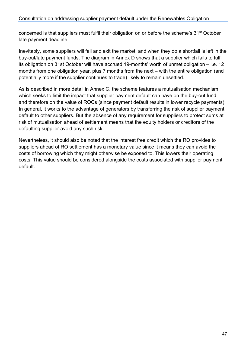concerned is that suppliers must fulfil their obligation on or before the scheme's 31<sup>st</sup> October late payment deadline.

Inevitably, some suppliers will fail and exit the market, and when they do a shortfall is left in the buy-out/late payment funds. The diagram in Annex D shows that a supplier which fails to fulfil its obligation on 31st October will have accrued 19-months' worth of unmet obligation – i.e. 12 months from one obligation year, plus 7 months from the next – with the entire obligation (and potentially more if the supplier continues to trade) likely to remain unsettled.

As is described in more detail in Annex C, the scheme features a mutualisation mechanism which seeks to limit the impact that supplier payment default can have on the buy-out fund, and therefore on the value of ROCs (since payment default results in lower recycle payments). In general, it works to the advantage of generators by transferring the risk of supplier payment default to other suppliers. But the absence of any requirement for suppliers to protect sums at risk of mutualisation ahead of settlement means that the equity holders or creditors of the defaulting supplier avoid any such risk.

Nevertheless, it should also be noted that the interest free credit which the RO provides to suppliers ahead of RO settlement has a monetary value since it means they can avoid the costs of borrowing which they might otherwise be exposed to. This lowers their operating costs. This value should be considered alongside the costs associated with supplier payment default.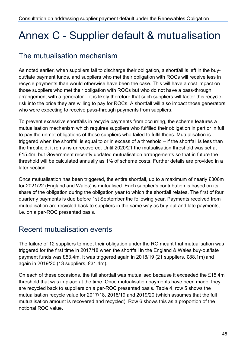## Annex C - Supplier default & mutualisation

## The mutualisation mechanism

As noted earlier, when suppliers fail to discharge their obligation, a shortfall is left in the buyout/late payment funds, and suppliers who met their obligation with ROCs will receive less in recycle payments than would otherwise have been the case. This will have a cost impact on those suppliers who met their obligation with ROCs but who do not have a pass-through arrangement with a generator – it is likely therefore that such suppliers will factor this recyclerisk into the price they are willing to pay for ROCs. A shortfall will also impact those generators who were expecting to receive pass-through payments from suppliers.

To prevent excessive shortfalls in recycle payments from occurring, the scheme features a mutualisation mechanism which requires suppliers who fulfilled their obligation in part or in full to pay the unmet obligations of those suppliers who failed to fulfil theirs. Mutualisation is triggered when the shortfall is equal to or in excess of a threshold – if the shortfall is less than the threshold, it remains unrecovered. Until 2020/21 the mutualisation threshold was set at £15.4m, but Government recently updated mutualisation arrangements so that in future the threshold will be calculated annually as 1% of scheme costs. Further details are provided in a later section.

Once mutualisation has been triggered, the entire shortfall, up to a maximum of nearly £306m for 2021/22 (England and Wales) is mutualised. Each supplier's contribution is based on its share of the obligation during the obligation year to which the shortfall relates. The first of four quarterly payments is due before 1st September the following year. Payments received from mutualisation are recycled back to suppliers in the same way as buy-out and late payments, i.e. on a per-ROC presented basis.

## Recent mutualisation events

The failure of 12 suppliers to meet their obligation under the RO meant that mutualisation was triggered for the first time in 2017/18 when the shortfall in the England & Wales buy-out/late payment funds was £53.4m. It was triggered again in 2018/19 (21 suppliers, £88.1m) and again in 2019/20 (13 suppliers, £31.4m).

On each of these occasions, the full shortfall was mutualised because it exceeded the £15.4m threshold that was in place at the time. Once mutualisation payments have been made, they are recycled back to suppliers on a per-ROC presented basis. Table 4, row 5 shows the mutualisation recycle value for 2017/18, 2018/19 and 2019/20 (which assumes that the full mutualisation amount is recovered and recycled). Row 6 shows this as a proportion of the notional ROC value.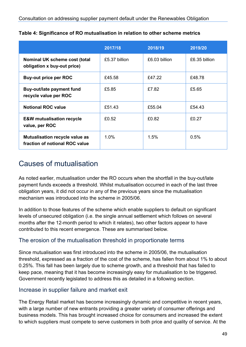|                                                                         | 2017/18       | 2018/19       | 2019/20       |
|-------------------------------------------------------------------------|---------------|---------------|---------------|
| Nominal UK scheme cost (total<br>obligation x buy-out price)            | £5.37 billion | £6.03 billion | £6.35 billion |
| <b>Buy-out price per ROC</b>                                            | £45.58        | £47.22        | £48.78        |
| Buy-out/late payment fund<br>recycle value per ROC                      | £5.85         | £7.82         | £5.65         |
| <b>Notional ROC value</b>                                               | £51.43        | £55.04        | £54.43        |
| <b>E&amp;W mutualisation recycle</b><br>value, per ROC                  | £0.52         | £0.82         | £0.27         |
| <b>Mutualisation recycle value as</b><br>fraction of notional ROC value | $1.0\%$       | 1.5%          | $0.5\%$       |

| Table 4: Significance of RO mutualisation in relation to other scheme metrics |  |  |  |  |
|-------------------------------------------------------------------------------|--|--|--|--|
|-------------------------------------------------------------------------------|--|--|--|--|

### Causes of mutualisation

As noted earlier, mutualisation under the RO occurs when the shortfall in the buy-out/late payment funds exceeds a threshold. Whilst mutualisation occurred in each of the last three obligation years, it did not occur in any of the previous years since the mutualisation mechanism was introduced into the scheme in 2005/06.

In addition to those features of the scheme which enable suppliers to default on significant levels of unsecured obligation (i.e. the single annual settlement which follows on several months after the 12-month period to which it relates), two other factors appear to have contributed to this recent emergence. These are summarised below.

#### The erosion of the mutualisation threshold in proportionate terms

Since mutualisation was first introduced into the scheme in 2005/06, the mutualisation threshold, expressed as a fraction of the cost of the scheme, has fallen from about 1% to about 0.25%. This fall has been largely due to scheme growth, and a threshold that has failed to keep pace, meaning that it has become increasingly easy for mutualisation to be triggered. Government recently legislated to address this as detailed in a following section.

#### Increase in supplier failure and market exit

The Energy Retail market has become increasingly dynamic and competitive in recent years, with a large number of new entrants providing a greater variety of consumer offerings and business models. This has brought increased choice for consumers and increased the extent to which suppliers must compete to serve customers in both price and quality of service. At the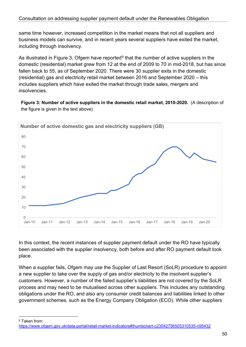same time however, increased competition in the market means that not all suppliers and business models can survive, and in recent years several suppliers have exited the market, including through insolvency.

As illustrated in Figure 3, Ofgem have reported $9$  that the number of active suppliers in the domestic (residential) market grew from 12 at the end of 2009 to 70 in mid-2018, but has since fallen back to 55, as of September 2020. There were 30 supplier exits in the domestic (residential) gas and electricity retail market between 2016 and September 2020 – this includes suppliers which have exited the market through trade sales, mergers and insolvencies.

**Figure 3: Number of active suppliers in the domestic retail market, 2010-2020.** (A description of the figure is given in the text above)



In this context, the recent instances of supplier payment default under the RO have typically been associated with the supplier insolvency, both before and after RO payment default took place.

When a supplier fails, Ofgem may use the Supplier of Last Resort (SoLR) procedure to appoint a new supplier to take over the supply of gas and/or electricity to the insolvent supplier's customers. However, a number of the failed supplier's liabilities are not covered by the SoLR process and may need to be mutualised across other suppliers. This includes any outstanding obligations under the RO, and also any consumer credit balances and liabilities linked to other government schemes, such as the Energy Company Obligation (ECO). While other suppliers

<span id="page-49-0"></span><sup>9</sup> Taken from:

<https://www.ofgem.gov.uk/data-portal/retail-market-indicators#thumbchart-c23042756505310535-n95432>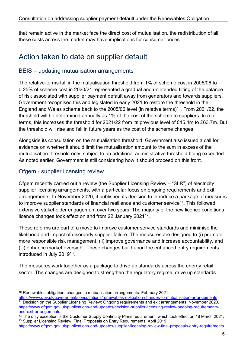that remain active in the market face the direct cost of mutualisation, the redistribution of all these costs across the market may have implications for consumer prices.

## Action taken to date on supplier default

#### BEIS – updating mutualisation arrangements

The relative-terms fall in the mutualisation threshold from 1% of scheme cost in 2005/06 to 0.25% of scheme cost in 2020/21 represented a gradual and unintended tilting of the balance of risk associated with supplier payment default away from generators and towards suppliers. Government recognised this and legislated in early 2021 to restore the threshold in the England and Wales scheme back to the 2005/06 level (in relative terms)<sup>10</sup>. From 2021/22, the threshold will be determined annually as 1% of the cost of the scheme to suppliers. In real terms, this increases the threshold for 2021/22 from its previous level of £15.4m to £63.7m. But the threshold will rise and fall in future years as the cost of the scheme changes.

Alongside its consultation on the mutualisation threshold, Government also issued a call for evidence on whether it should limit the mutualisation amount to the sum in excess of the mutualisation threshold only, subject to an additional administrative threshold being exceeded. As noted earlier, Government is still considering how it should proceed on this front.

#### Ofgem - supplier licensing review

Ofgem recently carried out a review (the Supplier Licensing Review – "SLR") of electricity supplier licensing arrangements, with a particular focus on ongoing requirements and exit arrangements. In November 2020, it published its decision to introduce a package of measures to improve supplier standards of financial resilience and customer service<sup>[11](#page-50-1)</sup>. This followed extensive stakeholder engagement over two years. The majority of the new licence conditions licence changes took effect on and from 22 January 2021<sup>12</sup>.

These reforms are part of a move to improve customer service standards and minimise the likelihood and impact of disorderly supplier failure. The measures are designed to (i) promote more responsible risk management, (ii) improve governance and increase accountability, and (iii) enhance market oversight. These changes build upon the enhanced entry requirements introduced in July 2019<sup>[13](#page-50-3)</sup>.

The measures work together as a package to drive up standards across the energy retail sector. The changes are designed to strengthen the regulatory regime, drive up standards

<span id="page-50-0"></span><sup>10</sup> Renewables obligation: changes to mutualisation arrangements. February 2021.

<span id="page-50-1"></span><https://www.gov.uk/government/consultations/renewables-obligation-changes-to-mutualisation-arrangements> <sup>11</sup> Decision on the Supplier Licensing Review: Ongoing requirements and exit arrangements. November 2020. [https://www.ofgem.gov.uk/publications-and-updates/decision-supplier-licensing-review-ongoing-requirements](https://www.ofgem.gov.uk/publications-and-updates/decision-supplier-licensing-review-ongoing-requirements-and-exit-arrangements)[and-exit-arrangements](https://www.ofgem.gov.uk/publications-and-updates/decision-supplier-licensing-review-ongoing-requirements-and-exit-arrangements)

<span id="page-50-2"></span> $12$  The only exception is the Customer Supply Continuity Plans requirement, which took effect on 18 March 2021. <sup>13</sup> Supplier Licensing Review: Final Proposals on Entry Requirements. April 2019.

<span id="page-50-3"></span><https://www.ofgem.gov.uk/publications-and-updates/supplier-licensing-review-final-proposals-entry-requirements>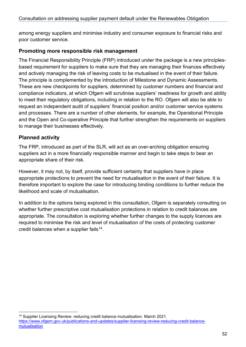among energy suppliers and minimise industry and consumer exposure to financial risks and poor customer service.

#### **Promoting more responsible risk management**

The Financial Responsibility Principle (FRP) introduced under the package is a new principlesbased requirement for suppliers to make sure that they are managing their finances effectively and actively managing the risk of leaving costs to be mutualised in the event of their failure. The principle is complemented by the introduction of Milestone and Dynamic Assessments. These are new checkpoints for suppliers, determined by customer numbers and financial and compliance indicators, at which Ofgem will scrutinise suppliers' readiness for growth and ability to meet their regulatory obligations, including in relation to the RO. Ofgem will also be able to request an independent audit of suppliers' financial position and/or customer service systems and processes. There are a number of other elements, for example, the Operational Principle and the Open and Co-operative Principle that further strengthen the requirements on suppliers to manage their businesses effectively.

#### **Planned activity**

The FRP, introduced as part of the SLR, will act as an over-arching obligation ensuring suppliers act in a more financially responsible manner and begin to take steps to bear an appropriate share of their risk.

However, it may not, by itself, provide sufficient certainty that suppliers have in place appropriate protections to prevent the need for mutualisation in the event of their failure. It is therefore important to explore the case for introducing binding conditions to further reduce the likelihood and scale of mutualisation.

In addition to the options being explored in this consultation, Ofgem is separately consulting on whether further prescriptive cost mutualisation protections in relation to credit balances are appropriate. The consultation is exploring whether further changes to the supply licences are required to minimise the risk and level of mutualisation of the costs of protecting customer credit balances when a supplier fails  $14$ .

<span id="page-51-0"></span><sup>14</sup> Supplier Licensing Review: reducing credit balance mutualisation. March 2021. [https://www.ofgem.gov.uk/publications-and-updates/supplier-licensing-review-reducing-credit-balance](https://www.ofgem.gov.uk/publications-and-updates/supplier-licensing-review-reducing-credit-balance-mutualisation)[mutualisation](https://www.ofgem.gov.uk/publications-and-updates/supplier-licensing-review-reducing-credit-balance-mutualisation)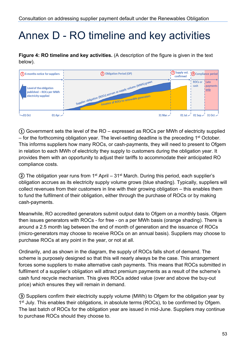## Annex D - RO timeline and key activities

**Figure 4: RO timeline and key activities.** (A description of the figure is given in the text below).



 $\Omega$  Government sets the level of the RO – expressed as ROCs per MWh of electricity supplied – for the forthcoming obligation year. The level-setting deadline is the preceding 1st October. This informs suppliers how many ROCs, or cash-payments, they will need to present to Ofgem in relation to each MWh of electricity they supply to customers during the obligation year. It provides them with an opportunity to adjust their tariffs to accommodate their anticipated RO compliance costs.

(2) The obligation year runs from  $1<sup>st</sup>$  April – 31<sup>st</sup> March. During this period, each supplier's obligation accrues as its electricity supply volume grows (blue shading). Typically, suppliers will collect revenues from their customers in line with their growing obligation – this enables them to fund the fulfilment of their obligation, either through the purchase of ROCs or by making cash-payments.

Meanwhile, RO accredited generators submit output data to Ofgem on a monthly basis. Ofgem then issues generators with ROCs - for free - on a per MWh basis (orange shading). There is around a 2.5 month lag between the end of month of generation and the issuance of ROCs (micro-generators may choose to receive ROCs on an annual basis). Suppliers may choose to purchase ROCs at any point in the year, or not at all.

Ordinarily, and as shown in the diagram, the supply of ROCs falls short of demand. The scheme is purposely designed so that this will nearly always be the case. This arrangement forces some suppliers to make alternative cash payments. This means that ROCs submitted in fulfilment of a supplier's obligation will attract premium payments as a result of the scheme's cash fund recycle mechanism. This gives ROCs added value (over and above the buy-out price) which ensures they will remain in demand.

③ Suppliers confirm their electricity supply volume (MWh) to Ofgem for the obligation year by 1<sup>st</sup> July. This enables their obligations, in absolute terms (ROCs), to be confirmed by Ofgem. The last batch of ROCs for the obligation year are issued in mid-June. Suppliers may continue to purchase ROCs should they choose to.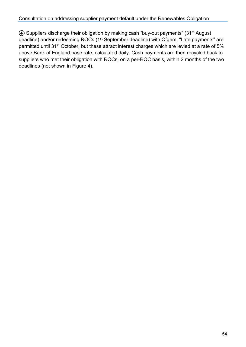#### Consultation on addressing supplier payment default under the Renewables Obligation

④ Suppliers discharge their obligation by making cash "buy-out payments" (31st August deadline) and/or redeeming ROCs (1<sup>st</sup> September deadline) with Ofgem. "Late payments" are permitted until 31<sup>st</sup> October, but these attract interest charges which are levied at a rate of 5% above Bank of England base rate, calculated daily. Cash payments are then recycled back to suppliers who met their obligation with ROCs, on a per-ROC basis, within 2 months of the two deadlines (not shown in Figure 4).